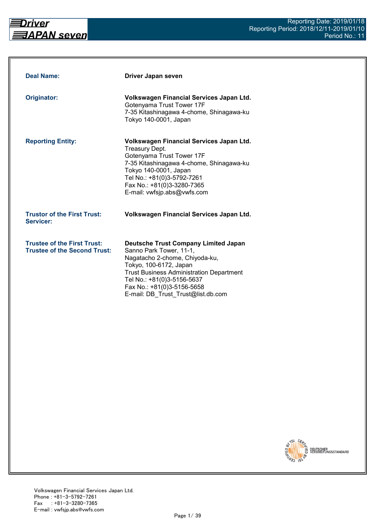

| <b>Deal Name:</b>                                                         | Driver Japan seven                                                                                                                                                                                                                                                                      |
|---------------------------------------------------------------------------|-----------------------------------------------------------------------------------------------------------------------------------------------------------------------------------------------------------------------------------------------------------------------------------------|
| Originator:                                                               | Volkswagen Financial Services Japan Ltd.<br>Gotenyama Trust Tower 17F<br>7-35 Kitashinagawa 4-chome, Shinagawa-ku<br>Tokyo 140-0001, Japan                                                                                                                                              |
| <b>Reporting Entity:</b>                                                  | Volkswagen Financial Services Japan Ltd.<br><b>Treasury Dept.</b><br>Gotenyama Trust Tower 17F<br>7-35 Kitashinagawa 4-chome, Shinagawa-ku<br>Tokyo 140-0001, Japan<br>Tel No.: +81(0)3-5792-7261<br>Fax No.: +81(0)3-3280-7365<br>E-mail: vwfsjp.abs@vwfs.com                          |
| <b>Trustor of the First Trust:</b><br>Servicer:                           | Volkswagen Financial Services Japan Ltd.                                                                                                                                                                                                                                                |
| <b>Trustee of the First Trust:</b><br><b>Trustee of the Second Trust:</b> | <b>Deutsche Trust Company Limited Japan</b><br>Sanno Park Tower, 11-1,<br>Nagatacho 2-chome, Chiyoda-ku,<br>Tokyo, 100-6172, Japan<br><b>Trust Business Administration Department</b><br>Tel No.: +81(0)3-5156-5637<br>Fax No.: +81(0)3-5156-5658<br>E-mail: DB Trust Trust@list.db.com |

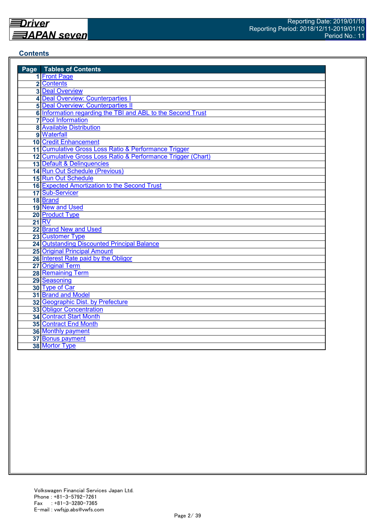#### **Contents**

| <b>Page</b> Tables of Contents                               |
|--------------------------------------------------------------|
| 1 Front Page                                                 |
| 2 Contents                                                   |
| <b>3 Deal Overview</b>                                       |
| 4 Deal Overview: Counterparties I                            |
| <b>5 Deal Overview: Counterparties II</b>                    |
| 6 Information regarding the TBI and ABL to the Second Trust  |
| <b>7</b> Pool Information                                    |
| <b>8 Available Distribution</b>                              |
| 9 Waterfall                                                  |
| <b>10 Credit Enhancement</b>                                 |
| 11 Cumulative Gross Loss Ratio & Performance Trigger         |
| 12 Cumulative Gross Loss Ratio & Performance Trigger (Chart) |
| 13 Default & Delinquencies                                   |
| 14 Run Out Schedule (Previous)                               |
| 15 Run Out Schedule                                          |
| 16 Expected Amortization to the Second Trust                 |
| 17 Sub-Servicer                                              |
| 18 Brand                                                     |
| 19 New and Used                                              |
| 20 Product Type                                              |
| <b>21 RV</b>                                                 |
| 22 Brand New and Used                                        |
| 23 Customer Type                                             |
| <b>24 Outstanding Discounted Principal Balance</b>           |
| <b>25 Original Principal Amount</b>                          |
| 26 Interest Rate paid by the Obligor                         |
| 27 Original Term                                             |
| 28 Remaining Term                                            |
| 29 Seasoning                                                 |
| 30 Type of Car                                               |
| 31 Brand and Model                                           |
| 32 Geographic Dist. by Prefecture                            |
| <b>33 Obligor Concentration</b>                              |
| <b>34 Contract Start Month</b>                               |
| 35 Contract End Month                                        |
| 36 Monthly payment                                           |
| 37 Bonus payment                                             |
| 38 Mortor Type                                               |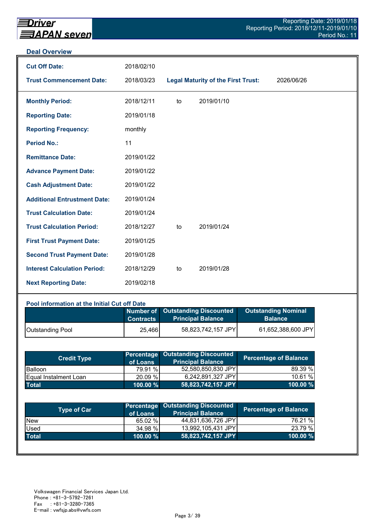#### **Deal Overview**

| <b>Cut Off Date:</b>                | 2018/02/10 |    |                                           |            |
|-------------------------------------|------------|----|-------------------------------------------|------------|
| <b>Trust Commencement Date:</b>     | 2018/03/23 |    | <b>Legal Maturity of the First Trust:</b> | 2026/06/26 |
| <b>Monthly Period:</b>              | 2018/12/11 | to | 2019/01/10                                |            |
| <b>Reporting Date:</b>              | 2019/01/18 |    |                                           |            |
| <b>Reporting Frequency:</b>         | monthly    |    |                                           |            |
| <b>Period No.:</b>                  | 11         |    |                                           |            |
| <b>Remittance Date:</b>             | 2019/01/22 |    |                                           |            |
| <b>Advance Payment Date:</b>        | 2019/01/22 |    |                                           |            |
| <b>Cash Adjustment Date:</b>        | 2019/01/22 |    |                                           |            |
| <b>Additional Entrustment Date:</b> | 2019/01/24 |    |                                           |            |
| <b>Trust Calculation Date:</b>      | 2019/01/24 |    |                                           |            |
| <b>Trust Calculation Period:</b>    | 2018/12/27 | to | 2019/01/24                                |            |
| <b>First Trust Payment Date:</b>    | 2019/01/25 |    |                                           |            |
| <b>Second Trust Payment Date:</b>   | 2019/01/28 |    |                                           |            |
| <b>Interest Calculation Period:</b> | 2018/12/29 | to | 2019/01/28                                |            |
| <b>Next Reporting Date:</b>         | 2019/02/18 |    |                                           |            |

#### **Pool information at the Initial Cut off Date**

|                         | <b>Contracts</b> | Number of Outstanding Discounted<br><b>Principal Balance</b> | <b>Outstanding Nominal</b><br><b>Balance</b> |
|-------------------------|------------------|--------------------------------------------------------------|----------------------------------------------|
| <b>Outstanding Pool</b> | 25,466           | 58,823,742,157 JPY                                           | 61,652,388,600 JPY                           |

| <b>Credit Type</b>            | of Loans    | <b>Percentage Outstanding Discounted</b><br><b>Principal Balance</b> | <b>Percentage of Balance</b> |
|-------------------------------|-------------|----------------------------------------------------------------------|------------------------------|
| <b>Balloon</b>                | 79.91 %     | 52,580,850,830 JPY                                                   | 89.39 %                      |
| <b>IEqual Instalment Loan</b> | 20.09 %     | 6,242,891,327 JPY                                                    | 10.61%                       |
| <b>Total</b>                  | $100.00 \%$ | 58,823,742,157 JPY                                                   | $100.00 \%$                  |

| <b>Type of Car</b> | of Loans    | <b>Percentage Outstanding Discounted</b><br><b>Principal Balance</b> | <b>Percentage of Balance</b> |
|--------------------|-------------|----------------------------------------------------------------------|------------------------------|
| <b>New</b>         | 65.02 %     | 44,831,636,726 JPY                                                   | 76.21 %                      |
| Used               | 34.98 %     | 13,992,105,431 JPY                                                   | 23.79 %                      |
| <b>Total</b>       | $100.00 \%$ | 58,823,742,157 JPY                                                   | 100.00 %                     |
|                    |             |                                                                      |                              |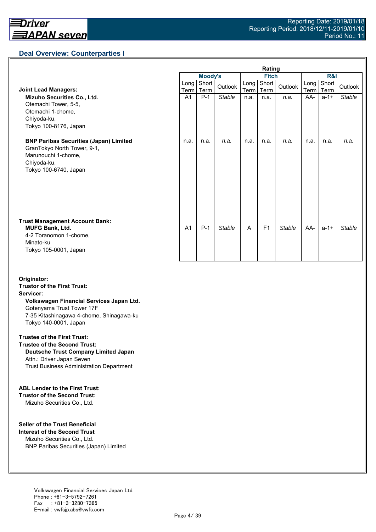## **Deal Overview: Counterparties I**

|                                                                                                                                             | Rating         |                |               |              |                |               |                     |               |               |
|---------------------------------------------------------------------------------------------------------------------------------------------|----------------|----------------|---------------|--------------|----------------|---------------|---------------------|---------------|---------------|
|                                                                                                                                             |                | <b>Moody's</b> |               | <b>Fitch</b> |                |               | <b>R&amp;I</b>      |               |               |
| <b>Joint Lead Managers:</b>                                                                                                                 | Long<br>Term   | Short<br>Term  | Outlook       | Long<br>Term | Short<br>Term  | Outlook       | Long<br><b>Term</b> | Short<br>Term | Outlook       |
| Mizuho Securities Co., Ltd.<br>Otemachi Tower, 5-5,<br>Otemachi 1-chome,<br>Chiyoda-ku,<br>Tokyo 100-8176, Japan                            | A <sub>1</sub> | $P-1$          | <b>Stable</b> | n.a.         | n.a.           | n.a.          | AA-                 | $a - 1 +$     | <b>Stable</b> |
| <b>BNP Paribas Securities (Japan) Limited</b><br>GranTokyo North Tower, 9-1,<br>Marunouchi 1-chome,<br>Chiyoda-ku,<br>Tokyo 100-6740, Japan | n.a.           | n.a.           | n.a.          | n.a.         | n.a.           | n.a.          | n.a.                | n.a.          | n.a.          |
| <b>Trust Management Account Bank:</b><br><b>MUFG Bank, Ltd.</b><br>4-2 Toranomon 1-chome,<br>Minato-ku<br>Tokyo 105-0001, Japan             | A <sub>1</sub> | $P-1$          | <b>Stable</b> | A            | F <sub>1</sub> | <b>Stable</b> | AA-                 | $a - 1 +$     | <b>Stable</b> |

#### **Originator: Trustor of the First Trust: Servicer: Volkswagen Financial Services Japan Ltd.** Gotenyama Trust Tower 17F 7-35 Kitashinagawa 4-chome, Shinagawa-ku Tokyo 140-0001, Japan

#### **Trustee of the First Trust:**

**Trustee of the Second Trust: Deutsche Trust Company Limited Japan** Attn.: Driver Japan Seven Trust Business Administration Department

#### **ABL Lender to the First Trust:**

**Trustor of the Second Trust:** Mizuho Securities Co., Ltd.

#### **Seller of the Trust Beneficial**

**Interest of the Second Trust** Mizuho Securities Co., Ltd. BNP Paribas Securities (Japan) Limited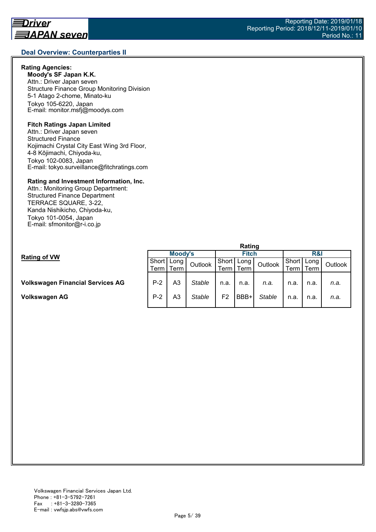## **Deal Overview: Counterparties II**

#### **Rating Agencies:**

**Moody's SF Japan K.K.** Attn.: Driver Japan seven Structure Finance Group Monitoring Division 5-1 Atago 2-chome, Minato-ku Tokyo 105-6220, Japan E-mail: monitor.msfj@moodys.com

#### **Fitch Ratings Japan Limited**

Attn.: Driver Japan seven Structured Finance Kojimachi Crystal City East Wing 3rd Floor, 4-8 Kōjimachi, Chiyoda-ku, Tokyo 102-0083, Japan E-mail: tokyo.surveillance@fitchratings.com

#### **Rating and Investment Information, Inc.**

Attn.: Monitoring Group Department: Structured Finance Department TERRACE SQUARE, 3-22, Kanda Nishikicho, Chiyoda-ku, Tokyo 101-0054, Japan E-mail: sfmonitor@r-i.co.jp

|                                         | naung       |    |               |                |      |               |         |      |         |  |
|-----------------------------------------|-------------|----|---------------|----------------|------|---------------|---------|------|---------|--|
| <b>Rating of VW</b>                     | Moody's     |    |               | <b>Fitch</b>   |      |               | R&I     |      |         |  |
|                                         | Short Long  |    | Outlook       | Short          | Long | Outlook       | Short I | Long | Outlook |  |
|                                         | Term   Term |    |               | erm            | Term |               | Геrm    | Term |         |  |
|                                         |             |    |               |                |      |               |         |      |         |  |
| <b>Volkswagen Financial Services AG</b> | $P-2$       | A3 | <b>Stable</b> | n.a.           | n.a. | n.a.          | n.a.    | n.a. | n.a.    |  |
|                                         |             |    |               |                |      |               |         |      |         |  |
| Volkswagen AG                           | $P-2$       | A3 | <b>Stable</b> | F <sub>2</sub> | BBB+ | <b>Stable</b> | n.a.    | n.a. | n.a.    |  |
|                                         |             |    |               |                |      |               |         |      |         |  |

**Rating**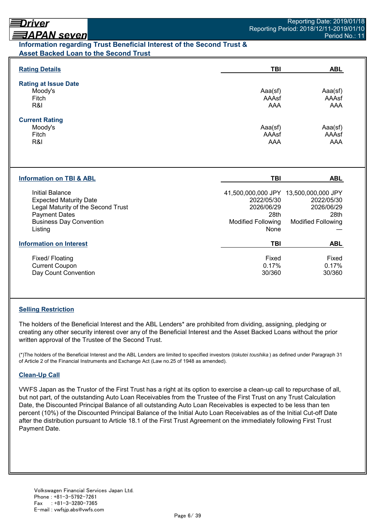## <u> ヨAPAN seven</u> **Information regarding Trust Beneficial Interest of the Second Trust & Asset Backed Loan to the Second Trust**

| <b>Rating Details</b>                                                                                                                                              | TBI                                                                   | <b>ABL</b>                                                                                             |
|--------------------------------------------------------------------------------------------------------------------------------------------------------------------|-----------------------------------------------------------------------|--------------------------------------------------------------------------------------------------------|
| <b>Rating at Issue Date</b><br>Moody's<br>Fitch<br>R&I                                                                                                             | Aaa(sf)<br>AAAsf<br><b>AAA</b>                                        | Aaa(sf)<br>AAAsf<br>AAA                                                                                |
| <b>Current Rating</b><br>Moody's<br>Fitch<br>R&I                                                                                                                   | Aaa(sf)<br>AAAsf<br>AAA                                               | Aaa(sf)<br>AAAsf<br>AAA                                                                                |
| <b>Information on TBI &amp; ABL</b>                                                                                                                                | <b>TBI</b>                                                            | <b>ABL</b>                                                                                             |
| <b>Initial Balance</b><br><b>Expected Maturity Date</b><br>Legal Maturity of the Second Trust<br><b>Payment Dates</b><br><b>Business Day Convention</b><br>Listing | 2022/05/30<br>2026/06/29<br>28th<br><b>Modified Following</b><br>None | 41,500,000,000 JPY 13,500,000,000 JPY<br>2022/05/30<br>2026/06/29<br>28th<br><b>Modified Following</b> |
|                                                                                                                                                                    |                                                                       |                                                                                                        |
| <b>Information on Interest</b>                                                                                                                                     | <b>TBI</b>                                                            | <b>ABL</b>                                                                                             |

## **Selling Restriction**

The holders of the Beneficial Interest and the ABL Lenders\* are prohibited from dividing, assigning, pledging or creating any other security interest over any of the Beneficial Interest and the Asset Backed Loans without the prior written approval of the Trustee of the Second Trust.

(\*)The holders of the Beneficial Interest and the ABL Lenders are limited to specified investors (*tokutei toushika* ) as defined under Paragraph 31 of Article 2 of the Financial Instruments and Exchange Act (Law no.25 of 1948 as amended).

#### **Clean-Up Call**

VWFS Japan as the Trustor of the First Trust has a right at its option to exercise a clean-up call to repurchase of all, but not part, of the outstanding Auto Loan Receivables from the Trustee of the First Trust on any Trust Calculation Date, the Discounted Principal Balance of all outstanding Auto Loan Receivables is expected to be less than ten percent (10%) of the Discounted Principal Balance of the Initial Auto Loan Receivables as of the Initial Cut-off Date after the distribution pursuant to Article 18.1 of the First Trust Agreement on the immediately following First Trust Payment Date.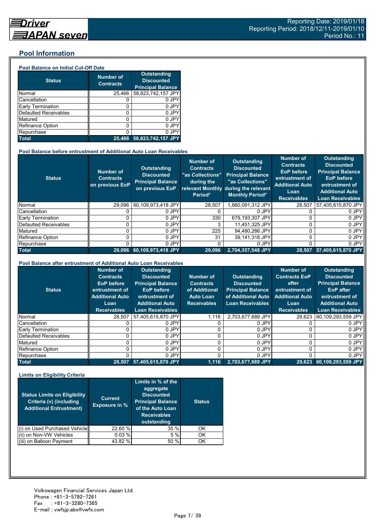#### **Pool Information**

#### **Pool Balance on Initial Cut-Off Date**

| <b>Status</b>                | <b>Number of</b><br><b>Contracts</b> | <b>Outstanding</b><br><b>Discounted</b><br><b>Principal Balance</b> |
|------------------------------|--------------------------------------|---------------------------------------------------------------------|
| Normal                       | 25,466                               | 58,823,742,157 JPY                                                  |
| Cancellation                 |                                      | 0 JPY                                                               |
| Early Termination            | 0                                    | 0 JPY                                                               |
| <b>Defaulted Receivables</b> | 0                                    | 0 JPY                                                               |
| Matured                      | ი                                    | 0 JPY                                                               |
| <b>Refinance Option</b>      | 0                                    | 0 JPY                                                               |
| Repurchase                   |                                      | 0 JPY                                                               |
| <b>Total</b>                 | 25.466                               | 58,823,742,157 JPY                                                  |

#### **Pool Balance before entrustment of Additional Auto Loan Receivables**

| <b>Status</b>                | <b>Number of</b><br><b>Contracts</b><br>on previous EoP | <b>Outstanding</b><br><b>Discounted</b><br><b>Principal Balance</b><br>on previous EoP | <b>Number of</b><br><b>Contracts</b><br>"as Collections"<br>during the<br>Period* | <b>Outstanding</b><br><b>Discounted</b><br><b>Principal Balance</b><br>"as Collections"<br>relevant Monthly during the relevant<br><b>Monthly Period*</b> | <b>Number of</b><br><b>Contracts</b><br><b>EoP</b> before<br>entrustment of<br><b>Additional Auto</b><br>Loan<br><b>Receivables</b> | <b>Outstanding</b><br><b>Discounted</b><br><b>Principal Balance</b><br><b>EoP</b> before<br>entrustment of<br><b>Additional Auto</b><br>Loan Receivables |
|------------------------------|---------------------------------------------------------|----------------------------------------------------------------------------------------|-----------------------------------------------------------------------------------|-----------------------------------------------------------------------------------------------------------------------------------------------------------|-------------------------------------------------------------------------------------------------------------------------------------|----------------------------------------------------------------------------------------------------------------------------------------------------------|
| Normal                       | 29.096                                                  | 60,109,973,418 JPY                                                                     | 28,507                                                                            | .880.091.312 JPY                                                                                                                                          | 28.507                                                                                                                              | 57,405,615,870 JPY                                                                                                                                       |
| Cancellation                 |                                                         | 0 JPY                                                                                  |                                                                                   | 0 JPY                                                                                                                                                     |                                                                                                                                     | 0 JPY                                                                                                                                                    |
| <b>Early Termination</b>     |                                                         | 0 JPY                                                                                  | 330                                                                               | 679,193,307 JPY                                                                                                                                           | 0                                                                                                                                   | 0 JPY                                                                                                                                                    |
| <b>Defaulted Receivables</b> |                                                         | 0 JPY                                                                                  | 3                                                                                 | 11.451.325 JPY                                                                                                                                            | 0                                                                                                                                   | 0 JPY                                                                                                                                                    |
| Matured                      |                                                         | 0 JPY                                                                                  | 225                                                                               | 94,480,286 JPY                                                                                                                                            | 0                                                                                                                                   | 0 JPY                                                                                                                                                    |
| <b>Refinance Option</b>      |                                                         | 0 JPY                                                                                  | 31                                                                                | 39.141.318 JPY                                                                                                                                            | 0                                                                                                                                   | 0 JPY                                                                                                                                                    |
| Repurchase                   |                                                         | 0 JPY                                                                                  | 0                                                                                 | 0 JPY                                                                                                                                                     | 0                                                                                                                                   | 0 JPY                                                                                                                                                    |
| <b>Total</b>                 | 29.096                                                  | 60,109,973,418 JPY                                                                     | 29,096                                                                            | 2,704,357,548 JPY                                                                                                                                         | 28,507                                                                                                                              | 57,405,615,870 JPY                                                                                                                                       |

#### **Pool Balance after entrustment of Additional Auto Loan Receivables**

| <b>Status</b>            | <b>Number of</b><br><b>Contracts</b><br>EoP before<br>entrustment of<br><b>Additional Auto</b><br>Loan<br><b>Receivables</b> | <b>Outstanding</b><br><b>Discounted</b><br><b>Principal Balance</b><br><b>EoP</b> before<br>entrustment of<br><b>Additional Auto</b><br><b>Loan Receivables</b> | Number of<br><b>Contracts</b><br>of Additional<br><b>Auto Loan</b><br><b>Receivables</b> | <b>Outstanding</b><br><b>Discounted</b><br><b>Principal Balance</b><br>of Additional Auto<br><b>Loan Receivables</b> | <b>Number of</b><br><b>Contracts EoP</b><br>after<br>entrustment of<br><b>Additional Auto</b><br>Loan<br><b>Receivables</b> | <b>Outstanding</b><br><b>Discounted</b><br><b>Principal Balance</b><br>EoP after<br>entrustment of<br><b>Additional Auto</b><br><b>Loan Receivables</b> |
|--------------------------|------------------------------------------------------------------------------------------------------------------------------|-----------------------------------------------------------------------------------------------------------------------------------------------------------------|------------------------------------------------------------------------------------------|----------------------------------------------------------------------------------------------------------------------|-----------------------------------------------------------------------------------------------------------------------------|---------------------------------------------------------------------------------------------------------------------------------------------------------|
| Normal                   | 28.507                                                                                                                       | 57,405,615,870 JPY                                                                                                                                              | 1.116                                                                                    | 2.703.677.689 JPY                                                                                                    | 29.623                                                                                                                      | 60,109,293,559 JPY                                                                                                                                      |
| Cancellation             |                                                                                                                              | 0 JPY                                                                                                                                                           |                                                                                          | 0 JPY                                                                                                                |                                                                                                                             | 0 JPY                                                                                                                                                   |
| <b>Early Termination</b> |                                                                                                                              | 0 JPY                                                                                                                                                           |                                                                                          | 0 JPY                                                                                                                |                                                                                                                             | 0 JPY                                                                                                                                                   |
| Defaulted Receivables    |                                                                                                                              | 0 JPY                                                                                                                                                           |                                                                                          | 0 JPY                                                                                                                |                                                                                                                             | 0 JPY                                                                                                                                                   |
| Matured                  |                                                                                                                              | 0 JPY                                                                                                                                                           |                                                                                          | 0 JPY                                                                                                                |                                                                                                                             | 0 JPY                                                                                                                                                   |
| Refinance Option         |                                                                                                                              | 0 JPY                                                                                                                                                           |                                                                                          | 0 JPY                                                                                                                |                                                                                                                             | 0 JPY                                                                                                                                                   |
| Repurchase               |                                                                                                                              | 0 JPY                                                                                                                                                           |                                                                                          | 0 JPY                                                                                                                |                                                                                                                             | 0 JPY                                                                                                                                                   |
| <b>Total</b>             |                                                                                                                              | 28,507 57,405,615,870 JPY                                                                                                                                       | 1.116                                                                                    | 2,703,677,689 JPY                                                                                                    |                                                                                                                             | 29,623 60,109,293,559 JPY                                                                                                                               |

#### **Limits on Eligibility Criteria**

| <b>Status Limits on Eligibility</b><br>Criteria (v) (including<br><b>Additional Entrustment)</b> | <b>Current</b><br><b>Exposure in %</b> | Limits in % of the<br>aggregate<br><b>Discounted</b><br><b>Principal Balance</b><br>of the Auto Loan<br><b>Receivables</b><br>outstanding | <b>Status</b> |
|--------------------------------------------------------------------------------------------------|----------------------------------------|-------------------------------------------------------------------------------------------------------------------------------------------|---------------|
| on Used Purchased Vehicle                                                                        | 22.60 %                                | 35 %                                                                                                                                      | OK            |
| (ii) on Non-VW Vehicles                                                                          | 0.03%                                  | 5%                                                                                                                                        | OK            |
| on Balloon Payment                                                                               | 43.82 %                                | 50 %                                                                                                                                      | ΟK            |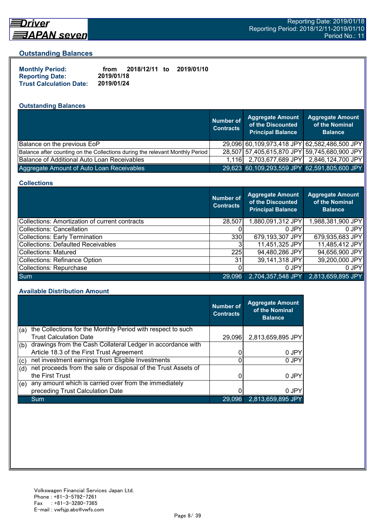

# Driver

#### **Outstanding Balances**

| <b>Monthly Period:</b>         | from       | 2018/12/11 to | 2019/01/10 |
|--------------------------------|------------|---------------|------------|
| <b>Reporting Date:</b>         | 2019/01/18 |               |            |
| <b>Trust Calculation Date:</b> | 2019/01/24 |               |            |

## **Outstanding Balances**

|                                                                              | <b>Number of</b><br><b>Contracts</b> | <b>Aggregate Amount</b><br>of the Discounted<br><b>Principal Balance</b> | <b>Aggregate Amount</b><br>of the Nominal<br><b>Balance</b> |
|------------------------------------------------------------------------------|--------------------------------------|--------------------------------------------------------------------------|-------------------------------------------------------------|
| Balance on the previous EoP                                                  |                                      |                                                                          | 29,096 60,109,973,418 JPY 62,582,486,500 JPY                |
| Balance after counting on the Collections during the relevant Monthly Period |                                      |                                                                          | 28,507 57,405,615,870 JPY 59,745,680,900 JPY                |
| Balance of Additional Auto Loan Receivables                                  | 1.116 <b>L</b>                       | 2,703,677,689 JPY                                                        | 2,846,124,700 JPY                                           |
| Aggregate Amount of Auto Loan Receivables                                    |                                      |                                                                          | 29,623 60,109,293,559 JPY 62,591,805,600 JPY                |

#### **Collections**

|                                                       | <b>Number of</b><br><b>Contracts</b> | Aggregate Amount<br>of the Discounted<br><b>Principal Balance</b> | <b>Aggregate Amount</b><br>of the Nominal<br><b>Balance</b> |
|-------------------------------------------------------|--------------------------------------|-------------------------------------------------------------------|-------------------------------------------------------------|
| <b>Collections: Amortization of current contracts</b> | 28,507                               | 1,880,091,312 JPY                                                 | 1,988,381,900 JPY                                           |
| Collections: Cancellation                             |                                      | 0 JPY                                                             | 0 JPY                                                       |
| <b>Collections: Early Termination</b>                 | 330                                  | 679,193,307 JPY                                                   | 679,935,683 JPY                                             |
| <b>Collections: Defaulted Receivables</b>             |                                      | 11,451,325 JPY                                                    | 11,485,412 JPY                                              |
| <b>Collections: Matured</b>                           | 225                                  | 94,480,286 JPY                                                    | 94,656,900 JPY                                              |
| <b>Collections: Refinance Option</b>                  | 31                                   | 39,141,318 JPY                                                    | 39,200,000 JPY                                              |
| Collections: Repurchase                               |                                      | 0 JPY                                                             | 0 JPY                                                       |
| <b>Sum</b>                                            | 29,096                               | 2,704,357,548 JPY                                                 | 2,813,659,895 JPY                                           |

#### **Available Distribution Amount**

|     |                                                               | <b>Number of</b><br><b>Contracts</b> | <b>Aggregate Amount</b><br>of the Nominal<br><b>Balance</b> |
|-----|---------------------------------------------------------------|--------------------------------------|-------------------------------------------------------------|
| (a) | the Collections for the Monthly Period with respect to such   |                                      |                                                             |
|     | <b>Trust Calculation Date</b>                                 | 29.096                               | 2,813,659,895 JPY                                           |
| (b) | drawings from the Cash Collateral Ledger in accordance with   |                                      |                                                             |
|     | Article 18.3 of the First Trust Agreement                     |                                      | 0 JPY                                                       |
| (c) | net investment earnings from Eligible Investments             | ი                                    | 0 JPY                                                       |
| (d) | net proceeds from the sale or disposal of the Trust Assets of |                                      |                                                             |
|     | the First Trust                                               |                                      | 0 JPY                                                       |
| (e) | any amount which is carried over from the immediately         |                                      |                                                             |
|     | preceding Trust Calculation Date                              |                                      | 0 JPY                                                       |
|     | Sum                                                           | 29,096                               | 2,813,659,895 JPY                                           |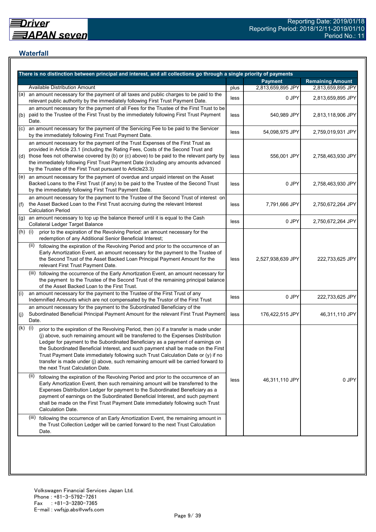## **Waterfall**

|           | There is no distinction between principal and interest, and all collections go through a single priority of payments                                                                                                                                                                                                                                                                                                                                                                                                                                                    |      |                   |                         |
|-----------|-------------------------------------------------------------------------------------------------------------------------------------------------------------------------------------------------------------------------------------------------------------------------------------------------------------------------------------------------------------------------------------------------------------------------------------------------------------------------------------------------------------------------------------------------------------------------|------|-------------------|-------------------------|
|           |                                                                                                                                                                                                                                                                                                                                                                                                                                                                                                                                                                         |      | <b>Payment</b>    | <b>Remaining Amount</b> |
|           | <b>Available Distribution Amount</b>                                                                                                                                                                                                                                                                                                                                                                                                                                                                                                                                    | plus | 2,813,659,895 JPY | 2,813,659,895 JPY       |
| (a)       | an amount necessary for the payment of all taxes and public charges to be paid to the<br>relevant public authority by the immediately following First Trust Payment Date.                                                                                                                                                                                                                                                                                                                                                                                               | less | 0 JPY             | 2,813,659,895 JPY       |
| (b)       | an amount necessary for the payment of all Fees for the Trustee of the First Trust to be<br>paid to the Trustee of the First Trust by the immediately following First Trust Payment<br>Date.                                                                                                                                                                                                                                                                                                                                                                            | less | 540,989 JPY       | 2,813,118,906 JPY       |
| (c)       | an amount necessary for the payment of the Servicing Fee to be paid to the Servicer<br>by the immediately following First Trust Payment Date.                                                                                                                                                                                                                                                                                                                                                                                                                           | less | 54,098,975 JPY    | 2,759,019,931 JPY       |
|           | an amount necessary for the payment of the Trust Expenses of the First Trust as<br>provided in Article 23.1 (including the Rating Fees, Costs of the Second Trust and<br>(d) those fees not otherwise covered by (b) or (c) above) to be paid to the relevant party by<br>the immediately following First Trust Payment Date (including any amounts advanced<br>by the Trustee of the First Trust pursuant to Article23.3)                                                                                                                                              | less | 556,001 JPY       | 2,758,463,930 JPY       |
|           | (e) an amount necessary for the payment of overdue and unpaid interest on the Asset<br>Backed Loans to the First Trust (if any) to be paid to the Trustee of the Second Trust<br>by the immediately following First Trust Payment Date.                                                                                                                                                                                                                                                                                                                                 | less | 0 JPY             | 2,758,463,930 JPY       |
| (f)       | an amount necessary for the payment to the Trustee of the Second Trust of interest on<br>the Asset Backed Loan to the First Trust accruing during the relevant Interest<br><b>Calculation Period</b>                                                                                                                                                                                                                                                                                                                                                                    | less | 7,791,666 JPY     | 2,750,672,264 JPY       |
| (g)       | an amount necessary to top up the balance thereof until it is equal to the Cash<br>Collateral Ledger Target Balance                                                                                                                                                                                                                                                                                                                                                                                                                                                     | less | 0 JPY             | 2,750,672,264 JPY       |
| $(h)$ (i) | prior to the expiration of the Revolving Period: an amount necessary for the<br>redemption of any Additional Senior Beneficial Interest;                                                                                                                                                                                                                                                                                                                                                                                                                                |      |                   |                         |
|           | following the expiration of the Revolving Period and prior to the occurrence of an<br>(ii)<br>Early Amortization Event, an amount necessary for the payment to the Trustee of<br>the Second Trust of the Asset Backed Loan Principal Payment Amount for the<br>relevant First Trust Payment Date.                                                                                                                                                                                                                                                                       | less | 2,527,938,639 JPY | 222,733,625 JPY         |
|           | (iii) following the occurrence of the Early Amortization Event, an amount necessary for<br>the payment to the Trustee of the Second Trust of the remaining principal balance<br>of the Asset Backed Loan to the First Trust.                                                                                                                                                                                                                                                                                                                                            |      |                   |                         |
| (i)       | an amount necessary for the payment to the Trustee of the First Trust of any<br>Indemnified Amounts which are not compensated by the Trustor of the First Trust                                                                                                                                                                                                                                                                                                                                                                                                         | less | 0 JPY             | 222,733,625 JPY         |
| (j)       | an amount necessary for the payment to the Subordinated Beneficiary of the<br>Subordinated Beneficial Principal Payment Amount for the relevant First Trust Payment<br>Date.                                                                                                                                                                                                                                                                                                                                                                                            | less | 176,422,515 JPY   | 46,311,110 JPY          |
| (k)       | (i)<br>prior to the expiration of the Revolving Period, then (x) if a transfer is made under<br>(j) above, such remaining amount will be transferred to the Expenses Distribution<br>Ledger for payment to the Subordinated Beneficiary as a payment of earnings on<br>the Subordinated Beneficial Interest, and such payment shall be made on the First<br>Trust Payment Date immediately following such Trust Calculation Date or (y) if no<br>transfer is made under (j) above, such remaining amount will be carried forward to<br>the next Trust Calculation Date. |      |                   |                         |
|           | (ii)<br>following the expiration of the Revolving Period and prior to the occurrence of an<br>Early Amortization Event, then such remaining amount will be transferred to the<br>Expenses Distribution Ledger for payment to the Subordinated Beneficiary as a<br>payment of earnings on the Subordinated Beneficial Interest, and such payment<br>shall be made on the First Trust Payment Date immediately following such Trust<br>Calculation Date.                                                                                                                  | less | 46,311,110 JPY    | 0 JPY                   |
|           | (iii)<br>following the occurrence of an Early Amortization Event, the remaining amount in<br>the Trust Collection Ledger will be carried forward to the next Trust Calculation<br>Date.                                                                                                                                                                                                                                                                                                                                                                                 |      |                   |                         |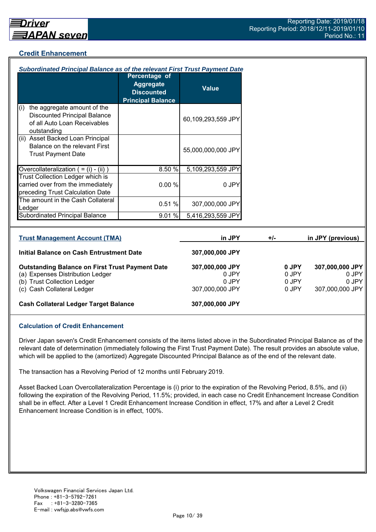## **Credit Enhancement**

| Subordinated Principal Balance as of the relevant First Trust Payment Date                                                |                                                                                    |                                   |       |                         |                                   |
|---------------------------------------------------------------------------------------------------------------------------|------------------------------------------------------------------------------------|-----------------------------------|-------|-------------------------|-----------------------------------|
|                                                                                                                           | Percentage of<br><b>Aggregate</b><br><b>Discounted</b><br><b>Principal Balance</b> | <b>Value</b>                      |       |                         |                                   |
| the aggregate amount of the<br>(i)<br><b>Discounted Principal Balance</b><br>of all Auto Loan Receivables<br>outstanding  |                                                                                    | 60,109,293,559 JPY                |       |                         |                                   |
| (ii) Asset Backed Loan Principal<br>Balance on the relevant First<br><b>Trust Payment Date</b>                            |                                                                                    | 55,000,000,000 JPY                |       |                         |                                   |
| Overcollateralization $( = (i) - (ii))$                                                                                   | 8.50 %                                                                             | 5,109,293,559 JPY                 |       |                         |                                   |
| Trust Collection Ledger which is<br>carried over from the immediately<br>preceding Trust Calculation Date                 | 0.00%                                                                              | 0 JPY                             |       |                         |                                   |
| The amount in the Cash Collateral<br>Ledger                                                                               | 0.51%                                                                              | 307,000,000 JPY                   |       |                         |                                   |
| <b>Subordinated Principal Balance</b>                                                                                     | 9.01 %                                                                             | 5,416,293,559 JPY                 |       |                         |                                   |
|                                                                                                                           |                                                                                    |                                   |       |                         |                                   |
| <b>Trust Management Account (TMA)</b>                                                                                     |                                                                                    | in JPY                            | $+/-$ |                         | in JPY (previous)                 |
| <b>Initial Balance on Cash Entrustment Date</b>                                                                           |                                                                                    | 307,000,000 JPY                   |       |                         |                                   |
| <b>Outstanding Balance on First Trust Payment Date</b><br>(a) Expenses Distribution Ledger<br>(b) Trust Collection Ledger |                                                                                    | 307,000,000 JPY<br>0 JPY<br>0 JPY |       | 0 JPY<br>0 JPY<br>0 JPY | 307,000,000 JPY<br>0 JPY<br>0 JPY |

(c) Cash Collateral Ledger 307,000,000 JPY 0 JPY 307,000,000 JPY

# **Cash Collateral Ledger Target Balance 307,000,000 JPY**

# **Calculation of Credit Enhancement**

Driver Japan seven's Credit Enhancement consists of the items listed above in the Subordinated Principal Balance as of the relevant date of determination (immediately following the First Trust Payment Date). The result provides an absolute value, which will be applied to the (amortized) Aggregate Discounted Principal Balance as of the end of the relevant date.

The transaction has a Revolving Period of 12 months until February 2019.

Asset Backed Loan Overcollateralization Percentage is (i) prior to the expiration of the Revolving Period, 8.5%, and (ii) following the expiration of the Revolving Period, 11.5%; provided, in each case no Credit Enhancement Increase Condition shall be in effect. After a Level 1 Credit Enhancement Increase Condition in effect, 17% and after a Level 2 Credit Enhancement Increase Condition is in effect, 100%.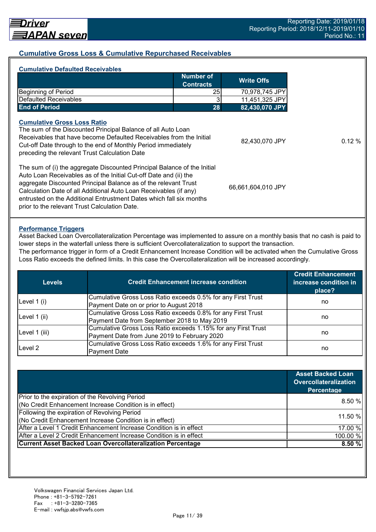## **Cumulative Gross Loss & Cumulative Repurchased Receivables**

| <b>Cumulative Defaulted Receivables</b>                                                                                                                                                                                                                                                     |                               |                    |
|---------------------------------------------------------------------------------------------------------------------------------------------------------------------------------------------------------------------------------------------------------------------------------------------|-------------------------------|--------------------|
|                                                                                                                                                                                                                                                                                             | Number of<br><b>Contracts</b> | <b>Write Offs</b>  |
| <b>Beginning of Period</b>                                                                                                                                                                                                                                                                  | 25                            | 70,978,745 JPY     |
| <b>Defaulted Receivables</b>                                                                                                                                                                                                                                                                | 3                             | 11,451,325 JPY     |
| <b>End of Period</b>                                                                                                                                                                                                                                                                        | 28                            | 82,430,070 JPY     |
| <b>Cumulative Gross Loss Ratio</b><br>The sum of the Discounted Principal Balance of all Auto Loan<br>Receivables that have become Defaulted Receivables from the Initial<br>Cut-off Date through to the end of Monthly Period immediately<br>preceding the relevant Trust Calculation Date |                               | 82,430,070 JPY     |
| The sum of (i) the aggregate Discounted Principal Balance of the Initial<br>Auto Loan Receivables as of the Initial Cut-off Date and (ii) the<br>aggregate Discounted Principal Balance as of the relevant Trust<br>Calculation Date of all Additional Auto Loan Receivables (if any)       |                               | 66,661,604,010 JPY |

#### **Performance Triggers**

Asset Backed Loan Overcollateralization Percentage was implemented to assure on a monthly basis that no cash is paid to lower steps in the waterfall unless there is sufficient Overcollateralization to support the transaction.

The performance trigger in form of a Credit Enhancement Increase Condition will be activated when the Cumulative Gross Loss Ratio exceeds the defined limits. In this case the Overcollateralization will be increased accordingly.

| <b>Levels</b> | <b>Credit Enhancement increase condition</b>                  | <b>Credit Enhancement</b><br>increase condition in<br>place? |  |
|---------------|---------------------------------------------------------------|--------------------------------------------------------------|--|
|               | Cumulative Gross Loss Ratio exceeds 0.5% for any First Trust  |                                                              |  |
| Level $1(i)$  | Payment Date on or prior to August 2018                       | no                                                           |  |
|               | Cumulative Gross Loss Ratio exceeds 0.8% for any First Trust  |                                                              |  |
| Level 1 (ii)  | Payment Date from September 2018 to May 2019                  | no                                                           |  |
|               | Cumulative Gross Loss Ratio exceeds 1.15% for any First Trust |                                                              |  |
| Level 1 (iii) | Payment Date from June 2019 to February 2020                  | no                                                           |  |
|               | Cumulative Gross Loss Ratio exceeds 1.6% for any First Trust  |                                                              |  |
| Level 2       | <b>Payment Date</b>                                           | no                                                           |  |

|                                                                    | <b>Asset Backed Loan</b><br><b>Overcollateralization</b><br>Percentage |
|--------------------------------------------------------------------|------------------------------------------------------------------------|
| Prior to the expiration of the Revolving Period                    |                                                                        |
| (No Credit Enhancement Increase Condition is in effect)            | 8.50%                                                                  |
| Following the expiration of Revolving Period                       | 11.50 %                                                                |
| (No Credit Enhancement Increase Condition is in effect)            |                                                                        |
| After a Level 1 Credit Enhancement Increase Condition is in effect | 17.00 %                                                                |
| After a Level 2 Credit Enhancement Increase Condition is in effect | 100.00 %                                                               |
| <b>Current Asset Backed Loan Overcollateralization Percentage</b>  | 8.50%                                                                  |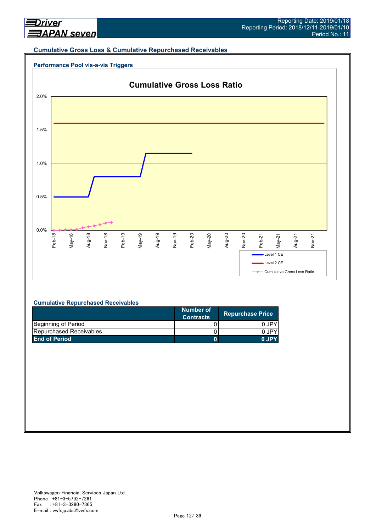#### **Cumulative Gross Loss & Cumulative Repurchased Receivables**





#### **Cumulative Repurchased Receivables**

|                                | Number of<br><b>Contracts</b> | <b>Repurchase Price</b> |
|--------------------------------|-------------------------------|-------------------------|
| Beginning of Period            |                               | 0 JPY                   |
| <b>Repurchased Receivables</b> |                               | 0 JPY                   |
| <b>End of Period</b>           |                               | 0.IPY                   |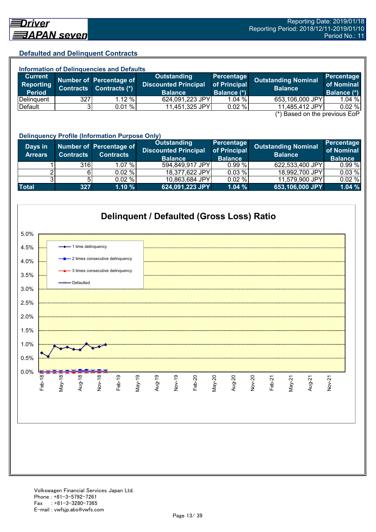#### **Defaulted and Delinquent Contracts**

| <b>Information of Delinquencies and Defaults</b> |                  |                                          |                                                                     |                                           |                                                                                    |                                         |  |
|--------------------------------------------------|------------------|------------------------------------------|---------------------------------------------------------------------|-------------------------------------------|------------------------------------------------------------------------------------|-----------------------------------------|--|
| <b>Current</b><br>Reporting<br><b>Period</b>     | <b>Contracts</b> | Number of Percentage of<br>Contracts (*) | <b>Outstanding</b><br><b>Discounted Principal</b><br><b>Balance</b> | Percentage<br>of Principal<br>Balance (*) | <b>Outstanding Nominal</b><br><b>Balance</b>                                       | Percentage<br>of Nominal<br>Balance (*) |  |
| Delinguent                                       | 327              | 1.12%                                    | 624,091,223 JPY                                                     | 1.04%                                     | 653,106,000 JPY                                                                    | $1.04 \%$                               |  |
| Default                                          |                  | 0.01%                                    | 11,451,325 JPY                                                      | 0.02%                                     | 11,485,412 JPY<br>$\left( \star \right)$ Desail and the nucliplical $\Gamma_{2}$ D | 0.02%                                   |  |

(\*) Based on the previous EoP

|                           | <b>Delinquency Profile (Information Purpose Only)</b> |                                             |                                                                     |                                              |                                              |                                            |  |
|---------------------------|-------------------------------------------------------|---------------------------------------------|---------------------------------------------------------------------|----------------------------------------------|----------------------------------------------|--------------------------------------------|--|
| Days in<br><b>Arrears</b> | <b>Contracts</b>                                      | Number of Percentage of<br><b>Contracts</b> | <b>Outstanding</b><br><b>Discounted Principal</b><br><b>Balance</b> | Percentage<br>of Principal<br><b>Balance</b> | <b>Outstanding Nominal</b><br><b>Balance</b> | Percentage<br>of Nominal<br><b>Balance</b> |  |
|                           | 316                                                   | 1.07%                                       | 594,849,917 JPY                                                     | 0.99%                                        | 622,533,400 JPY                              | 0.99%                                      |  |
|                           |                                                       | $0.02 \%$                                   | 18,377,622 JPY                                                      | 0.03%                                        | 18,992,700 JPY                               | 0.03%                                      |  |
|                           |                                                       | $0.02 \%$                                   | 10,863,684 JPY                                                      | 0.02%                                        | 11,579,900 JPY                               | 0.02%                                      |  |
| <b>Total</b>              | 327                                                   | 1.10%                                       | 624,091,223 JPY                                                     | 1.04%                                        | 653,106,000 JPY                              | 1.04%                                      |  |

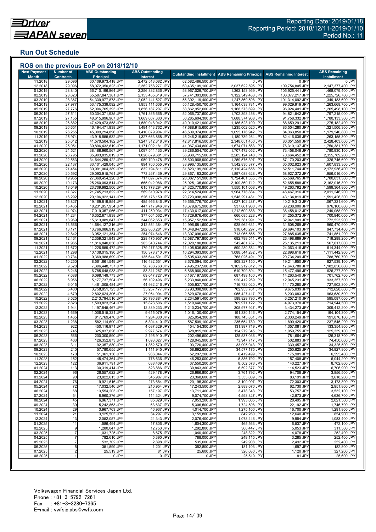## **Run Out Schedule**

| <b>Next Payment</b>     | <b>Number of</b>           | <b>ABS Outstanding</b>                   | <b>ABS Outstanding</b>                 |                                          | <b>Outstanding Installment ABS Remaining Principal</b> | <b>ABS Remaining Interest</b>    | <b>ABS Remaining</b>                   |
|-------------------------|----------------------------|------------------------------------------|----------------------------------------|------------------------------------------|--------------------------------------------------------|----------------------------------|----------------------------------------|
| <b>Month</b><br>11.2018 | <b>Contracts</b><br>29,096 | <b>Principal</b><br>60,109,973,418 JPY   | Interest<br>2,472,513,082 JPY          | 62,582,486,500 JPY                       | 0 JPY                                                  | 0 JPY                            | <b>Installment</b><br>0 JPY            |
| 12.2018                 | 29,096                     | 58,072,350,823 JPY                       | 2,362,758,277 JPY                      | 60,435,109,100 JPY                       | 2,037,622,595 JPY                                      | 109,754,805 JPY                  | 2,147,377,400 JPY                      |
| 01.2019                 | 28,840                     | 56,710,196,864 JPY                       | 2,256,832,836 JPY                      | 58,967,029,700 JPY                       | 1,362,153,959 JPY                                      | 105,925,441 JPY                  | 1,468,079,400 JPY                      |
| 02.2019                 | 28,623                     | 55,587,847,381 JPY                       | 2,153,455,619 JPY                      | 57,741,303,000 JPY                       | 1,122,349,483 JPY                                      | 103,377,217 JPY                  | 1,225,726,700 JPY                      |
| 03.2019                 | 28,367                     | 54,339,977,873 JPY                       | 2,052,141,527 JPY                      | 56,392,119,400 JPY                       | 1,247,869,508 JPY                                      | 101,314,092 JPY                  | 1,349,183,600 JPY                      |
| 04.2019                 | 27,977                     | 53,175,339,092 JPY                       | 1,953,111,608 JPY                      | 55,128,450,700 JPY                       | 1,164,638,781 JPY                                      | 99,029,919 JPY                   | 1,263,668,700 JPY                      |
| 05.2019<br>06.2019      | 27,776<br>27,511           | 52,006,765,393 JPY<br>50,304,371,935 JPY | 1,856,187,207 JPY<br>1,761,365,665 JPY | 53,862,952,600 JPY<br>52,065,737,600 JPY | 1,168,573,699 JPY<br>1,702,393,458 JPY                 | 96,924,401 JPY<br>94,821,542 JPY | 1,265,498,100 JPY<br>1,797,215,000 JPY |
| 07.2019                 | 27,155                     | 48,615,996,967 JPY                       | 1,669,607,333 JPY                      | 50,285,604,300 JPY                       | 1,688,374,968 JPY                                      | 91,758,332 JPY                   | 1,780,133,300 JPY                      |
| 08.2019                 | 26,882                     | 47,429,473,858 JPY                       | 1,580,948,042 JPY                      | 49,010,421,900 JPY                       | 1,186,523,109 JPY                                      | 88,659,291 JPY                   | 1,275,182,400 JPY                      |
| 09.2019                 | 26,651                     | 46,194,471,838 JPY                       | 1,494,443,762 JPY                      | 47,688,915,600 JPY                       | 1,235,002,020 JPY                                      | 86,504,280 JPY                   | 1,321,506,300 JPY                      |
| 10.2019                 | 26,255                     | 45,099,294,896 JPY                       | 1,410,079,904 JPY                      | 46,509,374,800 JPY                       | 1,095,176,942 JPY                                      | 84,363,858 JPY                   | 1,179,540,800 JPY                      |
| 11.2019                 | 25,974                     | 43,918,555,632 JPY                       | 1,327,663,868 JPY                      | 45,246,219,500 JPY                       | 1,180,739,264 JPY                                      | 82,416,036 JPY                   | 1,263,155,300 JPY                      |
| 12.2019                 | 25,612                     | 41,570,504,182 JPY                       | 1,247,312,318 JPY                      | 42,817,816,500 JPY                       | 2,348,051,450 JPY                                      | 80,351,550 JPY                   | 2,428,403,000 JPY                      |
| 01.2020<br>02.2020      | 25,051                     | 39,896,432,619 JPY                       | 1,171,002,181 JPY                      | 41,067,434,800 JPY<br>39,286,504,700 JPY | 1,674,071,563 JPY                                      | 76,310,137 JPY                   | 1,750,381,700 JPY<br>1,780,930,100 JPY |
| 03.2020                 | 24,521<br>23,795           | 38,188,960,567 JPY<br>35,903,835,819 JPY | 1,097,544,133 JPY<br>1,026,879,681 JPY | 36,930,715,500 JPY                       | 1,707,472,052 JPY<br>2,285,124,748 JPY                 | 73,458,048 JPY<br>70,664,452 JPY | 2,355,789,200 JPY                      |
| 04.2020                 | 22,563                     | 34,644,259,422 JPY                       | 959,709,478 JPY                        | 35,603,968,900 JPY                       | 1,259,576,397 JPY                                      | 67,170,203 JPY                   | 1,326,746,600 JPY                      |
| 05.2020                 | 22,137                     | 33,101,429,045 JPY                       | 894,706,555 JPY                        | 33,996,135,600 JPY                       | 1,542,830,377 JPY                                      | 65,002,923 JPY                   | 1,607,833,300 JPY                      |
| 06.2020                 | 21,454                     | 30,991,004,389 JPY                       | 832,194,811 JPY                        | 31,823,199,200 JPY                       | 2,110,424,656 JPY                                      | 62,511,744 JPY                   | 2,172,936,400 JPY                      |
| 07.2020                 | 20,592                     | 29,093,915,761 JPY                       | 773,267,439 JPY                        | 29,867,183,200 JPY                       | 1,897,088,628 JPY                                      | 58,927,372 JPY                   | 1,956,016,000 JPY                      |
| 08.2020                 | 19,955                     | 27,369,454,226 JPY                       | 717,697,674 JPY                        | 28,087,151,900 JPY                       | 1,724,461,535 JPY                                      | 55,569,765 JPY                   | 1,780,031,300 JPY                      |
| 09.2020                 | 19,173                     | 25,260,093,514 JPY                       | 665,042,086 JPY                        | 25,925,135,600 JPY                       | 2,109,360,712 JPY                                      | 52,655,588 JPY                   | 2,162,016,300 JPY                      |
| 10.2020                 | 18,049                     | 23,709,992,506 JPY                       | 615,778,294 JPY                        | 24,325,770,800 JPY                       | 1,550,101,008 JPY                                      | 49,263,792 JPY                   | 1,599,364,800 JPY                      |
| 11.2020<br>12.2020      | 17,327<br>16,292           | 21,745,213,622 JPY<br>20,196,922,141 JPY | 569,310,978 JPY<br>526,176,159 JPY     | 22,314,524,600 JPY<br>20,723,098,300 JPY | 1,964,778,884 JPY<br>1,548,291,481 JPY                 | 46,467,316 JPY<br>43,134,819 JPY | 2,011,246,200 JPY<br>1,591,426,300 JPY |
| 01.202                  | 15,827                     | 19,169,819,854 JPY                       | 485,956,846 JPY                        | 19,655,776,700 JPY                       | 1,027,102,287 JPY                                      | 40,219,313 JPY                   | 1,067,321,600 JPY                      |
| 02.2021                 | 15,465                     | 18,231,957,954 JPY                       | 447,717,946 JPY                        | 18,679,675,900 JPY                       | 937,861,900 JPY                                        | 38,238,900 JPY                   | 976,100,800 JPY                        |
| 03.202                  | 14,974                     | 17,019,357,066 JPY                       | 411,259,934 JPY                        | 17,430,617,000 JPY                       | 1,212,600,888 JPY                                      | 36,458,012 JPY                   | 1,249,058,900 JPY                      |
| 04.202                  | 14,234                     | 16,352,671,838 JPY                       | 377,004,562 JPY                        | 16,729,676,400 JPY                       | 666,685,228 JPY                                        | 34,255,372 JPY                   | 700,940,600 JPY                        |
| 05.202                  | 13,969                     | 15,613,089,847 JPY                       | 344,062,653 JPY                        | 15,957,152,500 JPY                       | 739,581,991 JPY                                        | 32,941,909 JPY                   | 772,523,900 JPY                        |
| 06.202                  | 13,566                     | 14,684,127,216 JPY                       | 312,554,384 JPY                        | 14,996,681,600 JPY                       | 928,962,631 JPY                                        | 31,508,269 JPY                   | 960,470,900 JPY                        |
| 07.202<br>08.202'       | 13,171<br>12,842           | 13,766,086,919 JPY<br>13,052,121,354 JPY | 282,860,281 JPY<br>254,974,646 JPY     | 14,048,947,200 JPY<br>13,307,096,000 JPY | 918,040,297 JPY<br>713,965,565 JPY                     | 29,694,103 JPY<br>27,885,635 JPY | 947,734,400 JPY<br>741,851,200 JPY     |
| 09.202                  | 12,461                     | 12,359,321,843 JPY                       | 228,475,957 JPY                        | 12,587,797,800 JPY                       | 692,799,511 JPY                                        | 26,498,689 JPY                   | 719,298,200 JPY                        |
| 10.202                  | 11,965                     | 11,816,840,056 JPY                       | 203,340,744 JPY                        | 12,020,180,800 JPY                       | 542,481,787 JPY                                        | 25,135,213 JPY                   | 567,617,000 JPY                        |
| 11.2021                 | 11,672                     | 11,226,559,472 JPY                       | 179,277,328 JPY                        | 11,405,836,800 JPY                       | 590,280,584 JPY                                        | 24,063,416 JPY                   | 614,344,000 JPY                        |
| 12.2021                 | 11,298                     | 10,138,015,190 JPY                       | 156,378,710 JPY                        | 10,294,393,900 JPY                       | 1,088,544,282 JPY                                      | 22,898,618 JPY                   | 1,111,442,900 JPY                      |
| 01.2022                 | 10,734                     | 9,369,988,699 JPY                        | 135,644,501 JPY                        | 9,505,633,200 JPY                        | 768,026,491 JPY                                        | 20,734,209 JPY                   | 788,760,700 JPY                        |
| 02.2022                 | 10,250                     | 8,561,661,549 JPY                        | 116,432,551 JPY                        | 8,678,094,100 JPY                        | 808,327,150 JPY                                        | 19,211,950 JPY                   | 827,539,100 JPY                        |
| 03.2022                 | 9,528                      | 7,396,448,737 JPY                        | 98,788,763 JPY                         | 7,495,237,500 JPY                        | 1,165,212,812 JPY                                      | 17,643,788 JPY                   | 1,182,856,600 JPY                      |
| 04.2022<br>05.202       | 8,246<br>7,688             | 6,785,648,933 JPY<br>6,098,149,773 JPY   | 83,311,267 JPY<br>69,047,727 JPY       | 6,868,960,200 JPY<br>6,167,197,500 JPY   | 610,799,804 JPY<br>687,499,160 JPY                     | 15,477,496 JPY<br>14,263,540 JPY | 626,277,300 JPY<br>701,762,700 JPY     |
| 06.202                  | 6,956                      | 5,177,737,504 JPY                        | 56,102,496 JPY                         | 5,233,840,000 JPY                        | 920,412,269 JPY                                        | 12,945,231 JPY                   | 933,357,500 JPY                        |
| 07.202                  | 6,015                      | 4,461,005,484 JPY                        | 44,932,216 JPY                         | 4,505,937,700 JPY                        | 716,732,020 JPY                                        | 11,170,280 JPY                   | 727,902,300 JPY                        |
| 08.2022                 | 5,400                      | 3,758,051,723 JPY                        | 35,257,177 JPY                         | 3,793,308,900 JPY                        | 702,953,761 JPY                                        | 9,675,039 JPY                    | 712,628,800 JPY                        |
| 09.2022                 | 4,679                      | 2,802,624,306 JPY                        | 27,054,094 JPY                         | 2,829,678,400 JPY                        | 955,427,417 JPY                                        | 8,203,083 JPY                    | 963,630,500 JPY                        |
| 10.202                  | 3,525                      | 2,213,794,516 JPY                        | 20,796,884 JPY                         | 2,234,591,400 JPY                        | 588,829,790 JPY                                        | 6,257,210 JPY                    | 595,087,000 JPY                        |
| 11.202                  | 2,823                      | 1,503,823,394 JPY                        | 15,823,506 JPY                         | 1,519,646,900 JPY                        | 709,971,122 JPY                                        | 4,973,378 JPY                    | 714,944,500 JPY                        |
| 12.2022                 | 1,944                      | 1,197,845,467 JPY<br>1,006,515,321 JPY   | 12,389,233 JPY                         | 1,210,234,700 JPY<br>1,016,130,400 JPY   | 305,977,927 JPY                                        | 3,434,273 JPY                    | 309,412,200 JPY                        |
| 01.2023<br>02.2023      | 1,669<br>1,465             | 817,769,470 JPY                          | 9,615,079 JPY<br>7,284,830 JPY         | 825,054,300 JPY                          | 191,330,146 JPY<br>188,745,851 JPY                     | 2,774,154 JPY<br>2,330,249 JPY   | 194,104,300 JPY<br>191,076,100 JPY     |
| 03.202                  | 1,238                      | 582,114,690 JPY                          | 5,394,410 JPY                          | 587,509,100 JPY                          | 235,654,780 JPY                                        | 1,890,420 JPY                    | 237,545,200 JPY                        |
| 04.2023                 | 922                        | 450,116,971 JPY                          | 4,037,329 JPY                          | 454,154,300 JPY                          | 131,997,719 JPY                                        | 1,357,081 JPY                    | 133,354,800 JPY                        |
| 05.2023                 | 745                        | 325,837,626 JPY                          | 2,977,574 JPY                          | 328,815,200 JPY                          | 124,279,345 JPY                                        | 1,059,755 JPY                    | 125,339,100 JPY                        |
| 06.2023                 | 566                        | 200,300,590 JPY                          | 2,195,910 JPY                          | 202,496,500 JPY                          | 125,537,036 JPY                                        | 781.664 JPY                      | 126,318,700 JPY                        |
| 07.2023                 | 403                        | 126,352,873 JPY                          | 1,693,027 JPY                          | 128,045,900 JPY                          | 73,947,717 JPY                                         | 502,883 JPY                      | 74,450,600 JPY                         |
| 08.2023                 | 311                        | 92,357,830 JPY                           | 1,362,570 JPY                          | 93,720,400 JPY                           | 33,995,043 JPY                                         | 330,457 JPY                      | 34,325,500 JPY                         |
| 09.2023                 | 240                        | 57,780,655 JPY                           | 1,111,945 JPY                          | 58,892,600 JPY                           | 34,577,175 JPY                                         | 250,625 JPY                      | 34,827,800 JPY                         |
| 10.2023<br>11.2023      | 170<br>152                 | 51,361,156 JPY<br>45,474,364 JPY         | 936,044 JPY<br>778,636 JPY             | 52,297,200 JPY<br>46,253,000 JPY         | 6,419,499 JPY<br>5,886,792 JPY                         | 175,901 JPY<br>157,408 JPY       | 6,595,400 JPY<br>6,044,200 JPY         |
| 12.2023                 | 122                        | 36,911,791 JPY                           | 638,409 JPY                            | 37,550,200 JPY                           | 8,562,573 JPY                                          | 140,227 JPY                      | 8,702,800 JPY                          |
| 01.2024                 | 113                        | 30,319,414 JPY                           | 523,886 JPY                            | 30,843,300 JPY                           | 6,592,377 JPY                                          | 114,523 JPY                      | 6,706,900 JPY                          |
| 02.2024                 | 96                         | 26,557,622 JPY                           | 429,178 JPY                            | 26,986,800 JPY                           | 3,761,792 JPY                                          | 94,708 JPY                       | 3,856,500 JPY                          |
| 03.2024                 | 90                         | 23,022,613 JPY                           | 345,987 JPY                            | 23,368,600 JPY                           | 3,535,009 JPY                                          | 83,191 JPY                       | 3,618,200 JPY                          |
| 04.2024                 | 76                         | 19,921,616 JPY                           | 273,684 JPY                            | 20,195,300 JPY                           | 3,100,997 JPY                                          | 72,303 JPY                       | 3,173,300 JPY                          |
| 05.2024                 | 72                         | 17,032,546 JPY                           | 210,954 JPY                            | 17,243,500 JPY                           | 2,889,070 JPY                                          | 62,730 JPY                       | 2,951,800 JPY                          |
| 06.2024                 | 68                         | 13,554,203 JPY                           | 157,197 JPY                            | 13,711,400 JPY                           | 3,478,343 JPY                                          | 53,757 JPY                       | 3,532,100 JPY                          |
| 07.2024                 | 54                         | 8,960,376 JPY                            | 114,324 JPY                            | 9,074,700 JPY                            | 4,593,827 JPY                                          | 42,873 JPY                       | 4,636,700 JPY                          |
| 08.2024<br>09.2024      | 45<br>39                   | 6,967,371 JPY<br>5,242,863 JPY           | 85,829 JPY<br>63,637 JPY               | 7,053,200 JPY<br>5,306,500 JPY           | 1,993,005 JPY<br>1,724,508 JPY                         | 28,495 JPY<br>22,192 JPY         | 2,021,500 JPY<br>1,746,700 JPY         |
| 10.2024                 | 29                         | 3,967,763 JPY                            | 46,937 JPY                             | 4,014,700 JPY                            | 1,275,100 JPY                                          | 16,700 JPY                       | 1,291,800 JPY                          |
| 11.2024                 | 21                         | 3,125,503 JPY                            | 34,297 JPY                             | 3,159,800 JPY                            | 842,260 JPY                                            | 12,640 JPY                       | 854,900 JPY                            |
| 12.2024                 | 13                         | 2,052,057 JPY                            | 24,343 JPY                             | 2,076,400 JPY                            | 1,073,446 JPY                                          | 9,954 JPY                        | 1,083,400 JPY                          |
| 01.2025                 | 11                         | 1.586.494 JPY                            | 17,806 JPY                             | 1,604,300 JPY                            | 465.563 JPY                                            | 6,537 JPY                        | 472,100 JPY                            |
| 02.2025                 | 9                          | 1,280,047 JPY                            | 12,753 JPY                             | 1,292,800 JPY                            | 306,447 JPY                                            | 5,053 JPY                        | 311,500 JPY                            |
| 03.2025                 | $\overline{7}$             | 1,031,725 JPY                            | 8,675 JPY                              | 1,040,400 JPY                            | 248,322 JPY                                            | 4,078 JPY                        | 252,400 JPY                            |
| 04.2025                 | $\overline{7}$             | 782,610 JPY                              | 5,390 JPY                              | 788,000 JPY                              | 249,115 JPY                                            | 3,285 JPY                        | 252,400 JPY                            |
| 05.2025                 |                            | 532,702 JPY                              | 2,898 JPY                              | 535,600 JPY                              | 249,908 JPY                                            | 2,492 JPY                        | 252,400 JPY                            |
| 06.2025<br>07.2025      | 5<br>$\overline{2}$        | 351,599 JPY<br>25,519 JPY                | 1,201 JPY<br>81 JPY                    | 352,800 JPY<br>25,600 JPY                | 181,103 JPY<br>326,080 JPY                             | 1,697 JPY<br>1,120 JPY           | 182,800 JPY<br>327,200 JPY             |
| 08.2025                 | 1                          | 0 JPY                                    | 0 JPY                                  | 0 JPY                                    | 25,519 JPY                                             | 81 JPY                           | 25,600 JPY                             |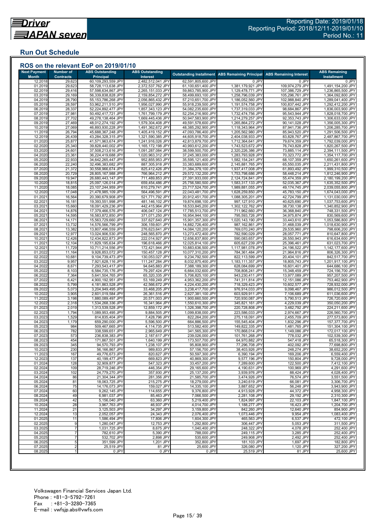## **Run Out Schedule**

| <b>Next Payment</b><br><b>Month</b> | <b>Number of</b><br><b>Contracts</b> | <b>ABS Outstanding</b><br><b>Principal</b> | <b>ABS Outstanding</b><br><b>Interest</b> |                                          | <b>Outstanding Installment ABS Remaining Principal</b> | <b>ABS Remaining Interest</b>      | <b>ABS Remaining</b><br><b>Installment</b> |
|-------------------------------------|--------------------------------------|--------------------------------------------|-------------------------------------------|------------------------------------------|--------------------------------------------------------|------------------------------------|--------------------------------------------|
| 12.2018                             | 29,623                               | 60,109,293,559 JPY                         | 2,482,512,041 JPY                         | 62,591,805,600 JPY                       | 0 JPY                                                  | 0 JPY                              | 0 JPY                                      |
| 01.2019                             | 29,623                               | 58,728,113,638 JPY                         | 2,372,537,762 JPY                         | 61,100,651,400 JPY                       | 1,381,179,921 JPY                                      | 109,974,279 JPY                    | 1,491,154,200 JPY                          |
| 02.2019<br>03.2019                  | 29,416<br>29,169                     | 57,598,634,867 JPY<br>56,339,838,828 JPY   | 2,265,151,033 JPY<br>2,159,854,272 JPY    | 59,863,785,900 JPY<br>58,499,693,100 JPY | 1,129,478,771 JPY<br>1,258,796,039 JPY                 | 107,386,729 JPY<br>105,296,761 JPY | 1,236,865,500 JPY<br>1,364,092,800 JPY     |
| 04.2019                             | 28,790                               | 55, 153, 786, 268 JPY                      | 2,056,865,432 JPY                         | 57,210,651,700 JPY                       | 1,186,052,560 JPY                                      | 102,988,840 JPY                    | 1,289,041,400 JPY                          |
| 05.2019                             | 28,597                               | 53,962,211,510 JPY                         | 1,956,027,990 JPY                         | 55,918,239,500 JPY                       | 1,191,574,758 JPY                                      | 100,837,442 JPY                    | 1,292,412,200 JPY                          |
| 06.2019                             | 28,337                               | 52,224,892,477 JPY                         | 1,857,343,123 JPY                         | 54,082,235,600 JPY                       | 1,737,319,033 JPY                                      | 98,684,867 JPY                     | 1,836,003,900 JPY                          |
| 07.2019<br>08.2019                  | 27,981<br>27,702                     | 50,492,417,721 JPY<br>49,278,138,464 JPY   | 1,761,799,179 JPY<br>1,669,445,436 JPY    | 52,254,216,900 JPY<br>50,947,583,900 JPY | 1,732,474,756 JPY<br>1,214,279,257 JPY                 | 95,543,944 JPY<br>92,353,743 JPY   | 1,828,018,700 JPY<br>1,306,633,000 JPY     |
| 09.2019                             | 27,469                               | 48,012,274,192 JPY                         | 1,579,304,408 JPY                         | 49,591,578,600 JPY                       | 1,265,864,272 JPY                                      | 90,141,028 JPY                     | 1,356,005,300 JPY                          |
| 10.2019                             | 27,069                               | 46,893,930,228 JPY                         | 1,491,362,672 JPY                         | 48,385,292,900 JPY                       | 1,118,343,964 JPY                                      | 87,941,736 JPY                     | 1,206,285,700 JPY                          |
| 11.2019<br>12.2019                  | 26,794<br>26,439                     | 45,688,367,248 JPY<br>43,284,328,315 JPY   | 1,405,419,152 JPY<br>1,321,590,385 JPY    | 47,093,786,400 JPY<br>44,605,918,700 JPY | 1,205,562,980 JPY<br>2,404,038,933 JPY                 | 85,943,520 JPY<br>83,828,767 JPY   | 1,291,506,500 JPY<br>2,487,867,700 JPY     |
| 01.2020                             | 25,877                               | 41,571,963,674 JPY                         | 1,241,916,026 JPY                         | 42,813,879,700 JPY                       | 1,712,364,641 JPY                                      | 79,674,359 JPY                     | 1,792,039,000 JPY                          |
| 02.2020                             | 25,340                               | 39,828,440,002 JPY                         | 1,165,172,198 JPY                         | 40,993,612,200 JPY                       | 1,743,523,672 JPY                                      | 76,743,828 JPY                     | 1,820,267,500 JPY                          |
| 03.2020                             | 24,601                               | 37,508,213,616 JPY                         | 1,091,287,084 JPY                         | 38,599,500,700 JPY                       | 2,320,226,386 JPY                                      | 73,885,114 JPY<br>70,323,772 JPY   | 2,394,111,500 JPY                          |
| 04.2020<br>05.2020                  | 23,361<br>22,933                     | 36,224,419,688 JPY<br>34,642,265,447 JPY   | 1,020,963,312 JPY<br>952,855,953 JPY      | 37,245,383,000 JPY<br>35,595,121,400 JPY | 1,283,793,928 JPY<br>1,582,154,241 JPY                 | 68,107,359 JPY                     | 1,354,117,700 JPY<br>1,650,261,600 JPY     |
| 06.2020                             | 22,240                               | 32,496,383,682 JPY                         | 887,305,918 JPY                           | 33,383,689,600 JPY                       | 2,145,881,765 JPY                                      | 65,550,035 JPY                     | 2,211,431,800 JPY                          |
| 07.2020                             | 21,372                               | 30,558,966,674 JPY                         | 825,412,426 JPY                           | 31,384,379,100 JPY                       | 1,937,417,008 JPY                                      | 61,893,492 JPY                     | 1,999,310,500 JPY                          |
| 08.2020                             | 20,729                               | 28,805,167,988 JPY                         | 766,964,212 JPY                           | 29,572,132,200 JPY                       | 1,753,798,686 JPY                                      | 58,448,214 JPY<br>55,474,359 JPY   | 1,812,246,900 JPY                          |
| 09.2020<br>10.2020                  | 19,947<br>18,815                     | 26,680,443,147 JPY<br>25,097,126,014 JPY   | 711,489,853 JPY<br>659,454,486 JPY        | 27,391,933,000 JPY<br>25,756,580,500 JPY | 2,124,724,841 JPY<br>1,583,317,133 JPY                 | 52,035,367 JPY                     | 2,180,199,200 JPY<br>1,635,352,500 JPY     |
| 11.2020                             | 18,085                               | 23,107,244,959 JPY                         | 610,279,741 JPY                           | 23,717,524,700 JPY                       | 1,989,881,055 JPY                                      | 49,174,745 JPY                     | 2,039,055,800 JPY                          |
| 12.2020                             | 17,048                               | 21,478,985,109 JPY                         | 564,496,591 JPY                           | 22.043.481.700 JPY                       | 1,628,259,850 JPY                                      | 45,783,150 JPY                     | 1,674,043,000 JPY                          |
| 01.2021<br>02.202'                  | 16,564                               | 20,390,679,908 JPY<br>19,393,551,998 JPY   | 521,771,792 JPY<br>481,146,102 JPY        | 20,912,451,700 JPY<br>19,874,698,100 JPY | 1,088,305,201 JPY                                      | 42,724,799 JPY                     | 1,131,030,000 JPY<br>1,037,753,600 JPY     |
| 03.2021                             | 16,181<br>15,660                     | 18,091,429,236 JPY                         | 442,415,964 JPY                           | 18,533,845,200 JPY                       | 997,127,910 JPY<br>1,302,122,762 JPY                   | 40,625,690 JPY<br>38,730,138 JPY   | 1,340,852,900 JPY                          |
| 04.202'                             | 14,876                               | 17,379,466,576 JPY                         | 406,047,124 JPY                           | 17,785,513,700 JPY                       | 711,962,660 JPY                                        | 36,368,840 JPY                     | 748,331,500 JPY                            |
| 05.202'                             | 14,595                               | 16,583,872,850 JPY                         | 371,071,250 JPY                           | 16,954,944,100 JPY                       | 795,593,726 JPY                                        | 34,975,874 JPY                     | 830,569,600 JPY                            |
| 06.2021<br>07.202                   | 14,171<br>13,732                     | 15,563,729,660 JPY<br>14,576,566,799 JPY   | 337,627,640 JPY<br>306,159,601 JPY        | 15,901,357,300 JPY<br>14,882,726,400 JPY | 1,020,143,190 JPY<br>987,162,861 JPY                   | 33,443,610 JPY<br>31,468,039 JPY   | 1,053,586,800 JPY<br>1,018,630,900 JPY     |
| 08.2021                             | 13,382                               | 13,807,496,559 JPY                         | 276,623,641 JPY                           | 14,084,120,200 JPY                       | 769,070,240 JPY                                        | 29,535,960 JPY                     | 798,606,200 JPY                            |
| 09.202                              | 12,977                               | 13,024,906,530 JPY                         | 248,565,870 JPY                           | 13,273,472,400 JPY                       | 782,590,029 JPY                                        | 28,057,771 JPY                     | 810,647,800 JPY                            |
| 10.202                              | 12,426                               | 12,434,822,873 JPY                         | 222,014,927 JPY                           | 12,656,837,800 JPY                       | 590,083,657 JPY                                        | 26,550,943 JPY                     | 616,634,600 JPY                            |
| 11.202<br>12.2021                   | 12,104<br>11,729                     | 11,829,195,634 JPY<br>10,711,214,556 JPY   | 196,618,466 JPY<br>172,421,944 JPY        | 12,025,814,100 JPY<br>10,883,636,500 JPY | 605,627,239 JPY<br>1,117,981,078 JPY                   | 25,396,461 JPY<br>24,196,522 JPY   | 631,023,700 JPY<br>1,142,177,600 JPY       |
| 01.2022                             | 11,164                               | 9,926,853,072 JPY                          | 150,457,128 JPY                           | 10,077,310,200 JPY                       | 784,361,484 JPY                                        | 21,964,816 JPY                     | 806,326,300 JPY                            |
| 02.202                              | 10,681                               | 9,104,739,473 JPY                          | 130,053,027 JPY                           | 9,234,792,500 JPY                        | 822,113,599 JPY                                        | 20,404,101 JPY                     | 842,517,700 JPY                            |
| 03.2022<br>04.2022                  | 9,957                                | 7,921,628,116 JPY                          | 111,247,284 JPY                           | 8,032,875,400 JPY                        | 1,183,111,357 JPY                                      | 18,805,743 JPY                     | 1,201,917,100 JPY<br>644,686,100 JPY       |
| 05.2022                             | 8,671<br>8,103                       | 7,293,543,417 JPY<br>6,584,735,176 JPY     | 94,645,883 JPY<br>79,297,424 JPY          | 7,388,189,300 JPY<br>6,664,032,600 JPY   | 628,084,699 JPY<br>708,808,241 JPY                     | 16,601,401 JPY<br>15,348,459 JPY   | 724,156,700 JPY                            |
| 06.202                              | 7,364                                | 5,641,504,765 JPY                          | 65,320,335 JPY                            | 5,706,825,100 JPY                        | 943,230,411 JPY                                        | 13,977,089 JPY                     | 957,207,500 JPY                            |
| 07.202                              | 6,421                                | 4,900,192,951 JPY                          | 53,169,249 JPY                            | 4,953,362,200 JPY                        | 741,311,814 JPY                                        | 12,151,086 JPY                     | 753,462,900 JPY                            |
| 08.202<br>09.2022                   | 5,799<br>5,073                       | 4,181,863,528 JPY<br>3,204,949,495 JPY     | 42,566,672 JPY<br>33,468,205 JPY          | 4,224,430,200 JPY<br>3,238,417,700 JPY   | 718,329,423 JPY<br>976,914,033 JPY                     | 10,602,577 JPY<br>9,098,467 JPY    | 728,932,000 JPY<br>986,012,500 JPY         |
| 10.2022                             | 3,905                                | 2,601,019,584 JPY                          | 26,361,516 JPY                            | 2,627,381,100 JPY                        | 603,929,911 JPY                                        | 7,106,689 JPY                      | 611,036,600 JPY                            |
| 11.202                              | 3,198                                | 1,880,089,497 JPY                          | 20,571,003 JPY                            | 1,900,660,500 JPY                        | 720,930,087 JPY                                        | 5,790,513 JPY                      | 726,720,600 JPY                            |
| 12.202<br>01.2023                   | 2,318<br>2,019                       | 1,534,268,336 JPY                          | 16,341,964 JPY<br>12,859,172 JPY          | 1,550,610,300 JPY<br>1,326,398,700 JPY   | 345,821,161 JPY<br>220,728,808 JPY                     | 4,229,039 JPY                      | 350,050,200 JPY<br>224,211,600 JPY         |
| 02.2023                             | 1,794                                | 1,313,539,528 JPY<br>1,089,953,495 JPY     | 9,884,505 JPY                             | 1,099,838,000 JPY                        | 223,586,033 JPY                                        | 3,482,792 JPY<br>2,974,667 JPY     | 226,560,700 JPY                            |
| 03.2023                             | 1,529                                | 814,835,404 JPY                            | 7,428,796 JPY                             | 822,264,200 JPY                          | 275,118,091 JPY                                        | 2,455,709 JPY                      | 277,573,800 JPY                            |
| 04.202                              | 1,179                                | 659,290,000 JPY                            | 5,596,500 JPY                             | 664,886,500 JPY                          | 155,545,404 JPY                                        | 1,832,296 JPY                      | 157,377,700 JPY                            |
| 05.2023<br>06.2023                  | 984<br>782                           | 509,467,665 JPY<br>338,599,651 JPY         | 4,114,735 JPY<br>2,965,649 JPY            | 513,582,400 JPY<br>341,565,300 JPY       | 149,822,335 JPY<br>170,868,014 JPY                     | 1,481,765 JPY<br>1,149,086 JPY     | 151,304,100 JPY<br>172,017,100 JPY         |
| 07.2023                             | 573                                  | 236,838,383 JPY                            | 2,187,617 JPY                             | 239,026,000 JPY                          | 101,761,268 JPY                                        | 778,032 JPY                        | 102,539,300 JPY                            |
| 08.2023                             | 454                                  | 171,867,501 JPY                            | 1,640,199 JPY                             | 173,507,700 JPY                          | 64,970,882 JPY                                         | 547,418 JPY                        | 65,518,300 JPY                             |
| 09.2023                             | 345                                  | 94,570,793 JPY                             | 1,238,107 JPY                             | 95,808,900 JPY                           | 77,296,708 JPY                                         | 402,092 JPY                        | 77,698,800 JPY                             |
| 10.2023<br>11.2023                  | 230<br>167                           | 56,166,867 JPY<br>49,776,673 JPY           | 989,833 JPY<br>820,627 JPY                | 57,156,700 JPY<br>50,597,300 JPY         | 38,403,926 JPY<br>6,390,194 JPY                        | 248,274 JPY<br>169,206 JPY         | 38,652,200 JPY<br>6,559,400 JPY            |
| 12.2023                             | 137                                  | 40,199,477 JPY                             | 669,823 JPY                               | 40,869,300 JPY                           | 9,577,196 JPY                                          | 150,804 JPY                        | 9,728,000 JPY                              |
| 01.2024                             | 128                                  | 32,909,877 JPY                             | 547,323 JPY                               | 33,457,200 JPY                           | 7,289,600 JPY                                          | 122,500 JPY                        | 7,412,100 JPY                              |
| 02.2024                             | 109                                  | 28,719,246 JPY                             | 446,354 JPY                               | 29.165.600 JPY                           | 4,190,631 JPY                                          | 100,969 JPY                        | 4,291,600 JPY                              |
| 03.2024<br>04.2024                  | 102<br>86                            | 24,779,270 JPY<br>21,304,344 JPY           | 357,930 JPY<br>281,356 JPY                | 25,137,200 JPY<br>21,585,700 JPY         | 3,939,976 JPY<br>3,474,926 JPY                         | 88,424 JPY<br>76,574 JPY           | 4,028,400 JPY<br>3,551,500 JPY             |
| 05.2024                             | 81                                   | 18,063,725 JPY                             | 215,275 JPY                               | 18,279,000 JPY                           | 3,240,619 JPY                                          | 66,081 JPY                         | 3,306,700 JPY                              |
| 06.2024                             | 75                                   | 14,176,073 JPY                             | 159,027 JPY                               | 14,335,100 JPY                           | 3,887,652 JPY                                          | 56,248 JPY                         | 3,943,900 JPY                              |
| 07.2024                             | 60                                   | 9,262,145 JPY                              | 114,655 JPY                               | 9,376,800 JPY                            | 4,913,928 JPY                                          | 44,372 JPY                         | 4,958,300 JPY<br>2,310,300 JPY             |
| 08.2024<br>09.2024                  | 49<br>42                             | 6,981,037 JPY<br>5,156,040 JPY             | 85,463 JPY<br>63,360 JPY                  | 7,066,500 JPY<br>5,219,400 JPY           | 2,281,108 JPY<br>1,824,997 JPY                         | 29,192 JPY<br>22,103 JPY           | 1,847,100 JPY                              |
| 10.2024                             | 28                                   | 3,967,763 JPY                              | 46,937 JPY                                | 4,014,700 JPY                            | 1,188,277 JPY                                          | 16,423 JPY                         | 1,204,700 JPY                              |
| 11.2024                             | 21                                   | 3,125,503 JPY                              | 34,297 JPY                                | 3,159,800 JPY                            | 842,260 JPY                                            | 12,640 JPY                         | 854,900 JPY                                |
| 12.2024                             | 13<br>11                             | 2,052,057 JPY                              | 24,343 JPY                                | 2,076,400 JPY                            | 1,073,446 JPY                                          | 9,954 JPY<br>6,537 JPY             | 1,083,400 JPY<br>472,100 JPY               |
| 01.2025<br>02.2025                  | 9                                    | 1,586,494 JPY<br>1,280,047 JPY             | 17,806 JPY<br>12,753 JPY                  | 1,604,300 JPY<br>1.292.800 JPY           | 465,563 JPY<br>306,447 JPY                             | 5,053 JPY                          | 311,500 JPY                                |
| 03.2025                             |                                      | 1,031,725 JPY                              | 8,675 JPY                                 | 1,040,400 JPY                            | 248,322 JPY                                            | 4,078 JPY                          | 252,400 JPY                                |
| 04.2025                             |                                      | 782,610 JPY                                | 5,390 JPY                                 | 788,000 JPY                              | 249,115 JPY                                            | 3,285 JPY                          | 252,400 JPY                                |
| 05.2025                             | $\overline{7}$                       | 532,702 JPY                                | 2,898 JPY                                 | 535,600 JPY                              | 249,908 JPY                                            | 2,492 JPY                          | 252,400 JPY                                |
| 06.2025<br>07.2025                  | 5<br>$\overline{2}$                  | 351,599 JPY<br>25,519 JPY                  | 1,201 JPY<br>81 JPY                       | 352,800 JPY<br>25,600 JPY                | 181,103 JPY<br>326,080 JPY                             | 1,697 JPY<br>1,120 JPY             | 182,800 JPY<br>327,200 JPY                 |
| 08.2025                             |                                      | 0 JPY                                      | 0 JPY                                     | 0 JPY                                    | 25,519 JPY                                             | 81 JPY                             | 25,600 JPY                                 |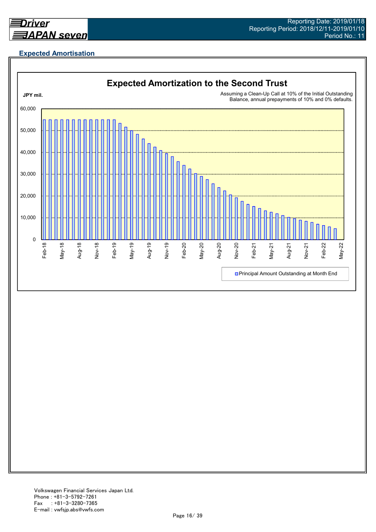

## **Expected Amortisation**

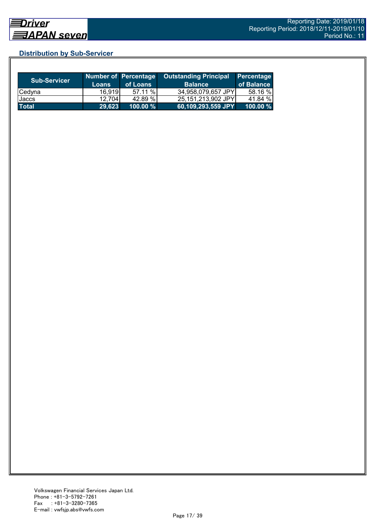## **Distribution by Sub-Servicer**

| <b>Sub-Servicer</b> | <b>Loans</b> | Number of Percentage<br>of Loans | <b>Outstanding Principal</b><br><b>Balance</b> | <b>Percentage</b><br>of Balance |
|---------------------|--------------|----------------------------------|------------------------------------------------|---------------------------------|
| Cedyna              | 16,919       | 57.11 %                          | 34,958,079,657 JPY                             | 58.16 %                         |
| Jaccs               | 12.704       | 42.89 %                          | 25.151.213.902 JPYI                            | 41.84 %                         |
| <b>Total</b>        | 29,623       | 100.00 %                         | 60,109,293,559 JPY                             | $100.00 \%$                     |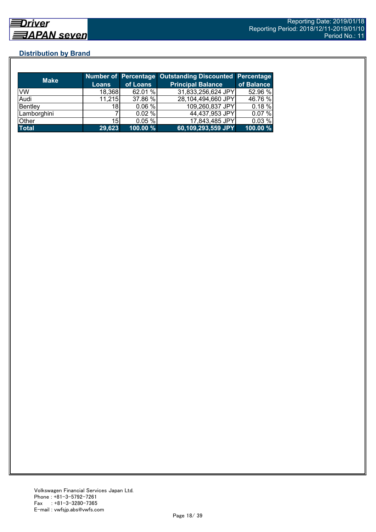## **Distribution by Brand**

| <b>Make</b>  |                 |          | <b>Number of Percentage Outstanding Discounted Percentage</b> |            |
|--------------|-----------------|----------|---------------------------------------------------------------|------------|
|              | <b>Loans</b>    | of Loans | <b>Principal Balance</b>                                      | of Balance |
| VW           | 18,368          | 62.01 %  | 31,833,256,624 JPY                                            | 52.96 %    |
| Audi         | 11,215          | 37.86 %  | 28,104,494,660 JPY                                            | 46.76 %    |
| Bentley      | 18              | 0.06 %   | 109,260,837 JPY                                               | $0.18 \%$  |
| Lamborghini  |                 | 0.02%    | 44,437,953 JPY                                                | 0.07%      |
| Other        | 15 <sub>l</sub> | 0.05%    | 17,843,485 JPY                                                | 0.03%      |
| <b>Total</b> | 29,623          | 100.00 % | $ 60,109,293,559$ JPY                                         | 100.00 %   |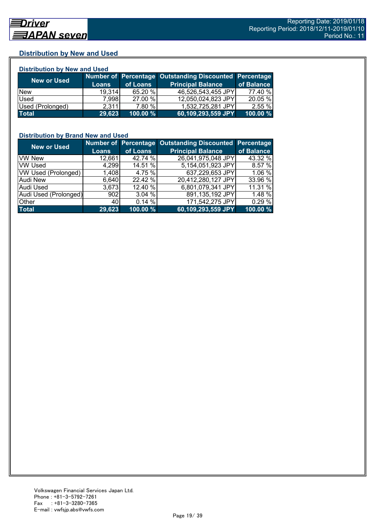## **Distribution by New and Used**

| <b>Distribution by New and Used</b> |              |          |                                                        |            |  |  |
|-------------------------------------|--------------|----------|--------------------------------------------------------|------------|--|--|
|                                     |              |          | Number of Percentage Outstanding Discounted Percentage |            |  |  |
| <b>New or Used</b>                  | <b>Loans</b> | of Loans | <b>Principal Balance</b>                               | of Balance |  |  |
| <b>New</b>                          | 19.314       | 65.20 %  | 46,526,543,455 JPY                                     | 77.40 %    |  |  |
| Used                                | 7.998        | 27.00 %  | 12,050,024,823 JPY                                     | 20.05 %    |  |  |
| Used (Prolonged)                    | 2,311        | 7.80 %   | 1,532,725,281 JPY                                      | 2.55 %     |  |  |
| <b>Total</b>                        | 29,623       | 100.00 % | 60,109,293,559 JPY                                     | 100.00 %   |  |  |

#### **Distribution by Brand New and Used**

| <b>New or Used</b>    |              |          | Number of Percentage Outstanding Discounted Percentage |            |
|-----------------------|--------------|----------|--------------------------------------------------------|------------|
|                       | <b>Loans</b> | of Loans | <b>Principal Balance</b>                               | of Balance |
| <b>VW New</b>         | 12,661       | 42.74 %  | 26,041,975,048 JPY                                     | 43.32 %    |
| <b>VW Used</b>        | 4,299        | 14.51 %  | 5,154,051,923 JPY                                      | 8.57%      |
| VW Used (Prolonged)   | 1,408        | 4.75 %   | 637,229,653 JPY                                        | 1.06 %     |
| <b>Audi New</b>       | 6,640        | 22.42 %  | 20,412,280,127 JPY                                     | 33.96 %    |
| Audi Used             | 3.673        | 12.40 %  | 6,801,079,341 JPY                                      | 11.31 %    |
| Audi Used (Prolonged) | 902          | 3.04%    | 891,135,192 JPY                                        | 1.48 %     |
| Other                 | 40           | 0.14%    | 171,542,275 JPY                                        | 0.29 %     |
| <b>Total</b>          | 29,623       | 100.00%  | 60,109,293,559 JPY                                     | 100.00 %   |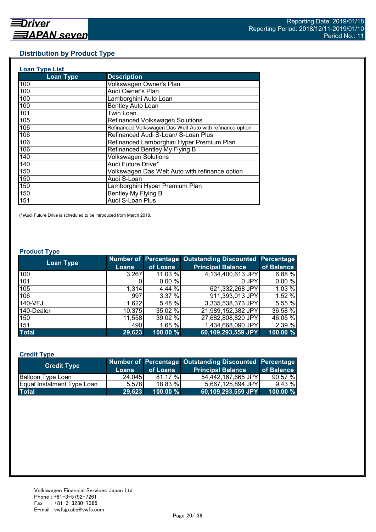## **Distribution by Product Type**

| <b>Loan Type List</b> |                                                           |
|-----------------------|-----------------------------------------------------------|
| <b>Loan Type</b>      | <b>Description</b>                                        |
| 100                   | Volkswagen Owner's Plan                                   |
| 100                   | Audi Owner's Plan                                         |
| 100                   | Lamborghini Auto Loan                                     |
| 100                   | <b>Bentley Auto Loan</b>                                  |
| 101                   | Twin Loan                                                 |
| 105                   | <b>Refinanced Volkswagen Solutions</b>                    |
| 106                   | Refinanced Volkswagen Das Welt Auto with refinance option |
| 106                   | Refinanced Audi S-Loan/ S-Loan Plus                       |
| 106                   | Refinanced Lamborghini Hyper Premium Plan                 |
| 106                   | Refinanced Bentley My Flying B                            |
| 140                   | <b>Volkswagen Solutions</b>                               |
| 140                   | Audi Future Drive*                                        |
| 150                   | Volkswagen Das Welt Auto with refinance option            |
| 150                   | Audi S-Loan                                               |
| 150                   | Lamborghini Hyper Premium Plan                            |
| 150                   | Bentley My Flying B                                       |
| 151                   | Audi S-Loan Plus                                          |

(\*)Audi Future Drive is scheduled to be introduced from March 2018.

#### **Product Type**

| <b>Loan Type</b> |              |          | Number of Percentage Outstanding Discounted Percentage |            |
|------------------|--------------|----------|--------------------------------------------------------|------------|
|                  | <b>Loans</b> | of Loans | <b>Principal Balance</b>                               | of Balance |
| 100              | 3,267        | 11.03 %  | 4,134,400,613 JPY                                      | 6.88%      |
| 101              |              | 0.00%    | 0 JPY                                                  | 0.00%      |
| 105              | 1,314        | 4.44 %   | 621,332,268 JPY                                        | 1.03 %     |
| 106              | 997          | 3.37 %   | 911,393,013 JPY                                        | 1.52 %     |
| 140-VFJ          | 1,622        | 5.48 %   | 3,335,538,373 JPY                                      | 5.55 %     |
| 140-Dealer       | 10,375       | 35.02 %  | 21,989,152,382 JPY                                     | 36.58 %    |
| 150              | 11,558       | 39.02 %  | 27,682,808,820 JPY                                     | 46.05 %    |
| 151              | 490          | 1.65 %   | 1,434,668,090 JPY                                      | 2.39 %     |
| <b>Total</b>     | 29,623       | 100.00 % | 60,109,293,559 JPY                                     | 100.00 %   |

## **Credit Type**

| <b>Credit Type</b>         |        |             | Number of Percentage Outstanding Discounted Percentage |            |
|----------------------------|--------|-------------|--------------------------------------------------------|------------|
|                            | Loans  | of Loans    | <b>Principal Balance</b>                               | of Balance |
| <b>Balloon Type Loan</b>   | 24,045 | 81.17 %     | 54,442,167,665 JPY                                     | 90.57%     |
| Equal Instalment Type Loan | 5.578  | 18.83 %     | 5,667,125,894 JPY                                      | $9.43\%$   |
| <b>Total</b>               | 29.623 | $100.00 \%$ | 60,109,293,559 JPY                                     | 100.00 %   |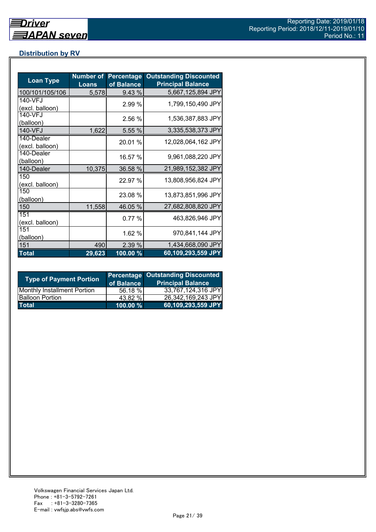## **Distribution by RV**

| <b>Loan Type</b>              | <b>Number of</b><br><b>Loans</b> | Percentage<br>of Balance | <b>Outstanding Discounted</b><br><b>Principal Balance</b> |
|-------------------------------|----------------------------------|--------------------------|-----------------------------------------------------------|
| 100/101/105/106               | 5,578                            | 9.43 %                   | 5,667,125,894 JPY                                         |
| 140-VFJ<br>(excl. balloon)    |                                  | 2.99 %                   | 1,799,150,490 JPY                                         |
| 140-VFJ<br>(balloon)          |                                  | 2.56 %                   | 1,536,387,883 JPY                                         |
| 140-VFJ                       | 1,622                            | 5.55 %                   | 3,335,538,373 JPY                                         |
| 140-Dealer<br>(excl. balloon) |                                  | 20.01 %                  | 12,028,064,162 JPY                                        |
| 140-Dealer<br>(balloon)       |                                  | 16.57 %                  | 9,961,088,220 JPY                                         |
| 140-Dealer                    | 10,375                           | 36.58 %                  | 21,989,152,382 JPY                                        |
| 150<br>(excl. balloon)        |                                  | 22.97 %                  | 13,808,956,824 JPY                                        |
| 150<br>(balloon)              |                                  | 23.08 %                  | 13,873,851,996 JPY                                        |
| 150                           | 11,558                           | 46.05 %                  | 27,682,808,820 JPY                                        |
| 151<br>(excl. balloon)        |                                  | 0.77%                    | 463,826,946 JPY                                           |
| 151<br>(balloon)              |                                  | 1.62 %                   | 970,841,144 JPY                                           |
| 151                           | 490                              | 2.39 %                   | 1,434,668,090 JPY                                         |
| <b>Total</b>                  | 29,623                           | 100.00%                  | 60,109,293,559 JPY                                        |

| <b>Type of Payment Portion</b>     | of Balance | <b>Percentage Outstanding Discounted</b><br><b>Principal Balance</b> |
|------------------------------------|------------|----------------------------------------------------------------------|
| <b>Monthly Installment Portion</b> | 56.18 %    | 33,767,124,316 JPY                                                   |
| <b>Balloon Portion</b>             | 43.82 %    | 26,342,169,243 JPY                                                   |
| <b>Total</b>                       | 100.00 %   | 60,109,293,559 JPY                                                   |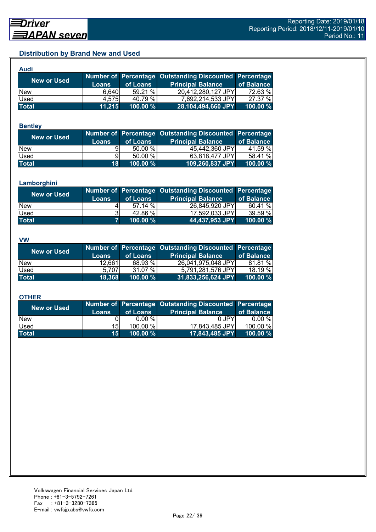## **Distribution by Brand New and Used**

| Audi               |              |             |                                                               |            |
|--------------------|--------------|-------------|---------------------------------------------------------------|------------|
| <b>New or Used</b> |              |             | <b>Number of Percentage Outstanding Discounted Percentage</b> |            |
|                    | <b>Loans</b> | of Loans    | <b>Principal Balance</b>                                      | of Balance |
| <b>New</b>         | 6.640        | 59.21 %     | 20,412,280,127 JPY                                            | 72.63 %    |
| Used               | 4.575        | 40.79 %     | 7,692,214,533 JPY                                             | 27.37 %    |
| <b>Total</b>       | 11,215       | $100.00 \%$ | 28,104,494,660 JPY                                            | 100.00 %   |

#### **Bentley**

| <b>New or Used</b> | <b>Loans</b>    | of Loans    | Number of Percentage Outstanding Discounted Percentage<br><b>Principal Balance</b> | of Balance |
|--------------------|-----------------|-------------|------------------------------------------------------------------------------------|------------|
| <b>New</b>         |                 | $50.00\%$   | 45,442,360 JPY                                                                     | 41.59 %    |
| Used               | 91              | 50.00 %     | 63,818,477 JPY                                                                     | 58.41 %    |
| <b>Total</b>       | 18 <sup>1</sup> | $100.00 \%$ | 109,260,837 JPY                                                                    | 100.00 %   |

#### **Lamborghini**

| <b>New or Used</b> | <b>Loans</b> | of Loans | Number of Percentage Outstanding Discounted Percentage<br><b>Principal Balance</b> | of Balance |
|--------------------|--------------|----------|------------------------------------------------------------------------------------|------------|
| <b>New</b>         |              | 57.14 %  | 26,845,920 JPY                                                                     | 60.41 %    |
| Used               |              | 42.86 %  | 17,592,033 JPY                                                                     | 39.59%     |
| <b>Total</b>       |              | 100.00 % | 44,437,953 JPY                                                                     | 100.00 %   |

#### **VW**

| <b>New or Used</b> |              |               | Number of Percentage Outstanding Discounted Percentage |             |
|--------------------|--------------|---------------|--------------------------------------------------------|-------------|
|                    | <b>Loans</b> | of Loans      | <b>Principal Balance</b>                               | of Balance  |
| <b>New</b>         | 12.661       | 68.93 %       | 26,041,975,048 JPY                                     | 81.81 %     |
| <b>Used</b>        | 5.7071       | $\%$<br>31.07 | 5,791,281,576 JPY                                      | 18.19 %     |
| <b>Total</b>       | 18.368       | 100.00 %      | 31,833,256,624 JPY                                     | $100.00 \%$ |

#### **OTHER**

| <b>New or Used</b> | <b>Loans</b>    | of Loans  | Number of Percentage Outstanding Discounted Percentage<br><b>Principal Balance</b> | of Balance |
|--------------------|-----------------|-----------|------------------------------------------------------------------------------------|------------|
| <b>New</b>         |                 | $0.00 \%$ | 0 JPY                                                                              | $0.00 \%$  |
| Used               | 15I             | 100.00 %  | 17,843,485 JPY                                                                     | 100.00 %   |
| <b>Total</b>       | 15 <sup>1</sup> | 100.00 %  | 17,843,485 JPY                                                                     | 100.00 $%$ |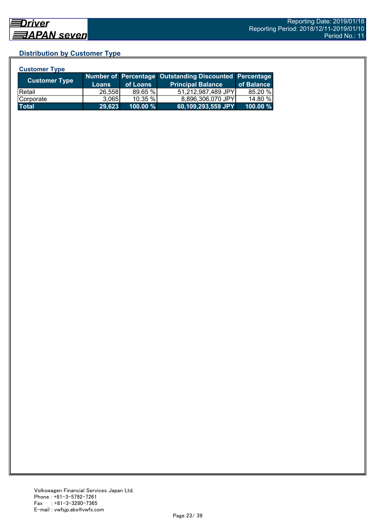## **Distribution by Customer Type**

| <b>Customer Type</b> |              |          |                                                        |            |
|----------------------|--------------|----------|--------------------------------------------------------|------------|
| <b>Customer Type</b> |              |          | Number of Percentage Outstanding Discounted Percentage |            |
|                      | <b>Loans</b> | of Loans | <b>Principal Balance</b>                               | of Balance |
| <b>Retail</b>        | 26,558       | 89.65 %  | 51,212,987,489 JPY                                     | 85.20 %    |
| Corporate            | 3.065        | 10.35 %  | 8,896,306,070 JPY                                      | 14.80 %    |
| <b>Total</b>         | 29,623       | 100.00 % | 60,109,293,559 JPY                                     | 100.00 %   |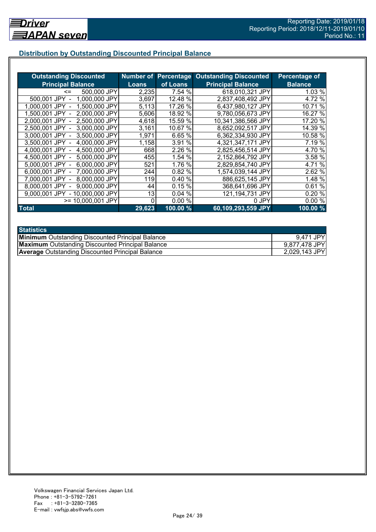## **Distribution by Outstanding Discounted Principal Balance**

| <b>Outstanding Discounted</b>     |        |                     | <b>Number of Percentage Outstanding Discounted</b> | Percentage of  |
|-----------------------------------|--------|---------------------|----------------------------------------------------|----------------|
| <b>Principal Balance</b>          | Loans  | of Loans            | <b>Principal Balance</b>                           | <b>Balance</b> |
| 500,000 JPY<br><=                 | 2,235  | 7.54 %              | 618,010,321 JPY                                    | 1.03 %         |
| 1,000,000 JPY<br>500,001 JPY      | 3,697  | 12.48 %             | 2,837,408,492 JPY                                  | 4.72 %         |
| 1,500,000 JPY<br>1.000.001 JPY    | 5,113  | 17.26 %             | 6,437,980,127 JPY                                  | 10.71 %        |
| 2,000,000 JPY<br>1.500.001 JPY -  | 5,606  | 18.92 %             | 9,780,056,673 JPY                                  | 16.27 %        |
| 2,500,000 JPY<br>2.000.001 JPY -  | 4,618  | 15.59 %             | 10,341,386,566 JPY                                 | 17.20 %        |
| 3,000,000 JPY<br>2,500,001 JPY -  | 3,161  | 10.67 %             | 8,652,092,517 JPY                                  | 14.39 %        |
| 3,500,000 JPY<br>3,000,001 JPY -  | 1,971  | 6.65 %              | 6,362,334,930 JPY                                  | 10.58 %        |
| 3.500,001 JPY -<br>4,000,000 JPY  | 1,158  | 3.91 %              | 4,321,347,171 JPY                                  | 7.19 %         |
| 4,000,001 JPY -<br>4,500,000 JPY  | 668    | 2.26 %              | 2,825,456,514 JPY                                  | 4.70 %         |
| 4,500,001 JPY -<br>5,000,000 JPY  | 455    | 1.54 %              | 2,152,864,792 JPY                                  | 3.58 %         |
| 6,000,000 JPY<br>5,000,001 JPY -  | 521    | 1.76 %              | 2,829,854,740 JPY                                  | 4.71 %         |
| 7,000,000 JPY<br>6,000,001 JPY -  | 244    | 0.82 %              | 1,574,039,144 JPY                                  | 2.62 %         |
| 8,000,000 JPY<br>7.000.001 JPY -  | 119    | 0.40%               | 886,625,145 JPY                                    | 1.48 %         |
| 9,000,000 JPY<br>8,000,001 JPY    | 44     | 0.15%               | 368,641,696 JPY                                    | 0.61%          |
| - 10,000,000 JPY<br>9.000.001 JPY | 13     | 0.04%               | 121,194,731 JPY                                    | 0.20%          |
| >= 10,000,001 JPY                 | 0      | 0.00%               | 0 JPY                                              | 0.00%          |
| <b>Total</b>                      | 29,623 | $100.00\frac{9}{6}$ | 60,109,293,559 JPY                                 | 100.00%        |

| <b>Statistics</b>                                       |               |
|---------------------------------------------------------|---------------|
| <b>Minimum</b> Outstanding Discounted Principal Balance | 9,471 JPY     |
| <b>Maximum</b> Outstanding Discounted Principal Balance | 9,877,478 JPY |
| <b>Average Outstanding Discounted Principal Balance</b> | 2,029,143 JPY |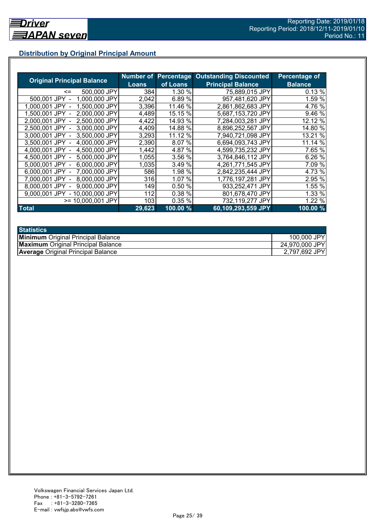## **Distribution by Original Principal Amount**

|                                   |              |          | <b>Number of Percentage Outstanding Discounted</b> | <b>Percentage of</b> |
|-----------------------------------|--------------|----------|----------------------------------------------------|----------------------|
| <b>Original Principal Balance</b> | <b>Loans</b> | of Loans | <b>Principal Balance</b>                           | <b>Balance</b>       |
| 500,000 JPY<br>$\leq$             | 384          | 1.30 %   | 75,889,015 JPY                                     | 0.13%                |
| 500,001 JPY<br>1.000.000 JPY      | 2,042        | 6.89%    | 957,481,620 JPY                                    | 1.59 %               |
| 1,500,000 JPY<br>1.000.001 JPY    | 3,396        | 11.46 %  | 2,861,862,683 JPY                                  | 4.76 %               |
| 2,000,000 JPY<br>1,500,001 JPY    | 4,489        | 15.15 %  | 5,687,153,720 JPY                                  | 9.46 %               |
| 2,500,000 JPY<br>2.000.001 JPY    | 4,422        | 14.93 %  | 7,284,003,281 JPY                                  | 12.12 %              |
| 3,000,000 JPY<br>2.500.001 JPY    | 4,409        | 14.88 %  | 8,896,252,567 JPY                                  | 14.80 %              |
| 3,000,001 JPY -<br>3,500,000 JPY  | 3,293        | 11.12 %  | 7,940,721,098 JPY                                  | 13.21 %              |
| 4,000,000 JPY<br>3,500,001 JPY    | 2,390        | 8.07 %   | 6,694,093,743 JPY                                  | 11.14 %              |
| 4,000,001 JPY -<br>4,500,000 JPY  | 1,442        | 4.87 %   | 4,599,735,232 JPY                                  | 7.65 %               |
| 5,000,000 JPY<br>4.500.001 JPY -  | 1,055        | 3.56 %   | 3,764,846,112 JPY                                  | 6.26%                |
| 6,000,000 JPY<br>5.000,001 JPY -  | 1,035        | 3.49 %   | 4,261,771,545 JPY                                  | 7.09 %               |
| 7,000,000 JPY<br>6,000,001 JPY -  | 586          | 1.98 %   | 2,842,235,444 JPY                                  | 4.73 %               |
| 8,000,000 JPY<br>7.000.001 JPY -  | 316          | 1.07 %   | 1,776,197,281 JPY                                  | 2.95 %               |
| 9.000.000 JPY<br>8.000.001 JPY    | 149          | 0.50 %   | 933,252,471 JPY                                    | 1.55 %               |
| - 10,000,000 JPY<br>9.000.001 JPY | 112          | 0.38 %   | 801,678,470 JPY                                    | 1.33 %               |
| $>= 10,000,001$ JPY               | 103          | 0.35%    | 732,119,277 JPY                                    | 1.22 %               |
| <b>Total</b>                      | 29,623       | 100.00 % | 60,109,293,559 JPY                                 | 100.00 %             |

| <b>Statistics</b>                         |                |
|-------------------------------------------|----------------|
| <b>Minimum</b> Original Principal Balance | 100,000 JPY    |
| <b>Maximum</b> Original Principal Balance | 24,970,000 JPY |
| <b>Average Original Principal Balance</b> | 2,797,692 JPY  |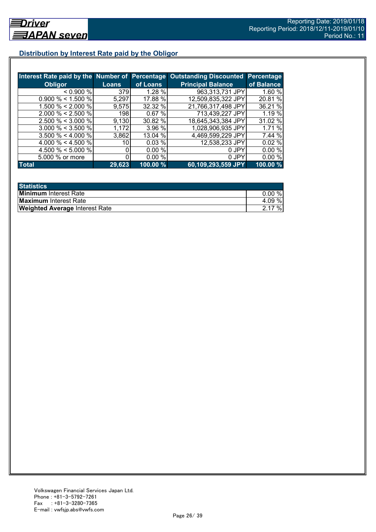## **Distribution by Interest Rate paid by the Obligor**

| Interest Rate paid by the Number of Percentage |        |          | <b>Outstanding Discounted</b> | Percentage |
|------------------------------------------------|--------|----------|-------------------------------|------------|
| <b>Obligor</b>                                 | Loans  | of Loans | <b>Principal Balance</b>      | of Balance |
| < 0.900 %                                      | 379    | 1.28%    | 963,313,731 JPY               | 1.60%      |
| $0.900\% < 1.500\%$                            | 5,297  | 17.88 %  | 12,509,835,322 JPY            | 20.81 %    |
| 1.500 % < 2.000 %                              | 9,575  | 32.32 %  | 21,766,317,498 JPY            | 36.21 %    |
| $2.000 \% < 2.500 \%$                          | 198    | 0.67%    | 713,439,227 JPY               | 1.19 %     |
| $2.500 \% < 3.000 \%$                          | 9,130  | 30.82 %  | 18,645,343,384 JPY            | 31.02 %    |
| $3.000 \% < 3.500 \%$                          | 1,172  | 3.96 %   | 1,028,906,935 JPY             | 1.71%      |
| $3.500 \% < 4.000 \%$                          | 3,862  | 13.04 %  | 4,469,599,229 JPY             | 7.44 %     |
| 4.000 % < 4.500 %                              | 10     | 0.03%    | 12,538,233 JPY                | 0.02%      |
| 4.500 % $\leq$ 5.000 %                         |        | 0.00%    | 0 JPY                         | 0.00%      |
| 5.000 % or more                                |        | 0.00%    | 0 JPY                         | 0.00%      |
| <b>Total</b>                                   | 29,623 | 100.00%  | 60,109,293,559 JPY            | 100.00 %   |

| <b>Statistics</b>                     |       |
|---------------------------------------|-------|
| <b>Minimum</b> Interest Rate          | 0.00% |
| <b>Maximum</b> Interest Rate          | 4.09% |
| <b>Weighted Average Interest Rate</b> | 2.17% |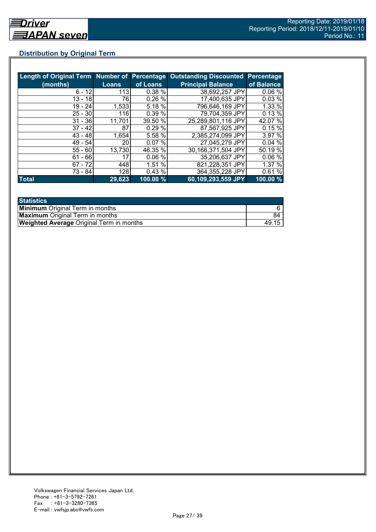## **Distribution by Original Term**

| Length of Original Term Number of Percentage |              |          | <b>Outstanding Discounted Percentage</b> |            |
|----------------------------------------------|--------------|----------|------------------------------------------|------------|
| (months)                                     | <b>Loans</b> | of Loans | <b>Principal Balance</b>                 | of Balance |
| $6 - 12$                                     | 113          | 0.38%    | 38,692,257 JPY                           | 0.06%      |
| $13 - 18$                                    | 76           | 0.26%    | 17,400,635 JPY                           | 0.03%      |
| 19 - 24                                      | 1,533        | 5.18 %   | 796,646,169 JPY                          | 1.33 %     |
| $25 - 30$                                    | 116          | 0.39 %   | 79,704,359 JPY                           | 0.13%      |
| $31 - 36$                                    | 11,701       | 39.50 %  | 25,289,801,116 JPY                       | 42.07 %    |
| $37 - 42$                                    | 87           | 0.29%    | 87,567,925 JPY                           | 0.15%      |
| $43 - 48$                                    | 1,654        | 5.58 %   | 2,385,274,099 JPY                        | 3.97 %     |
| $49 - 54$                                    | 20           | 0.07%    | 27,045,279 JPY                           | 0.04%      |
| $55 - 60$                                    | 13,730       | 46.35 %  | 30,166,371,504 JPY                       | 50.19 %    |
| $61 - 66$                                    | 17           | 0.06%    | 35,206,637 JPY                           | 0.06%      |
| $67 - 72$                                    | 448          | 1.51 %   | 821,228,351 JPY                          | 1.37%      |
| $73 - 84$                                    | 128          | 0.43%    | 364,355,228 JPY                          | 0.61%      |
| <b>Total</b>                                 | 29,623       | 100.00 % | 60,109,293,559 JPY                       | 100.00 %   |

| <b>Statistics</b>                               |       |
|-------------------------------------------------|-------|
| <b>Minimum</b> Original Term in months          |       |
| <b>Maximum</b> Original Term in months          | 84    |
| <b>Weighted Average Original Term in months</b> | 49.15 |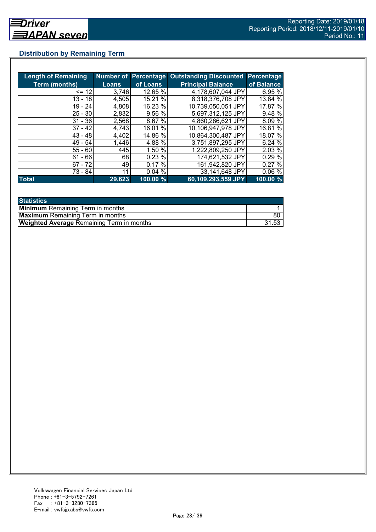## **Distribution by Remaining Term**

| <b>Length of Remaining</b> |        |          | Number of Percentage Outstanding Discounted | <b>Percentage</b> |
|----------------------------|--------|----------|---------------------------------------------|-------------------|
| <b>Term (months)</b>       | Loans  | of Loans | <b>Principal Balance</b>                    | of Balance        |
| $= 12$                     | 3,746  | 12.65 %  | 4,178,607,044 JPY                           | 6.95 %            |
| $13 - 18$                  | 4,505  | 15.21 %  | 8,318,376,708 JPY                           | 13.84 %           |
| $19 - 24$                  | 4,808  | 16.23 %  | 10,739,050,051 JPY                          | 17.87 %           |
| $25 - 30$                  | 2,832  | 9.56 %   | 5,697,312,125 JPY                           | 9.48 %            |
| $31 - 36$                  | 2,568  | 8.67 %   | 4,860,286,621 JPY                           | 8.09%             |
| $37 - 42$                  | 4,743  | 16.01 %  | 10.106,947,978 JPY                          | 16.81 %           |
| $43 - 48$                  | 4,402  | 14.86 %  | 10,864,300,487 JPY                          | 18.07 %           |
| $49 - 54$                  | 1,446  | 4.88 %   | 3,751,897,295 JPY                           | 6.24%             |
| $55 - 60$                  | 445    | 1.50 %   | 1,222,809,250 JPY                           | 2.03 %            |
| $61 - 66$                  | 68     | 0.23%    | 174,621,532 JPY                             | 0.29 %            |
| $67 - 72$                  | 49     | 0.17%    | 161,942,820 JPY                             | 0.27%             |
| 73 - 84                    | 11     | 0.04%    | 33,141,648 JPY                              | 0.06%             |
| <b>Total</b>               | 29,623 | 100.00 % | 60,109,293,559 JPY                          | 100.00 %          |

| <b>Statistics</b>                                |       |
|--------------------------------------------------|-------|
| <b>Minimum</b> Remaining Term in months          |       |
| <b>Maximum</b> Remaining Term in months          | 80    |
| <b>Weighted Average Remaining Term in months</b> | 31.53 |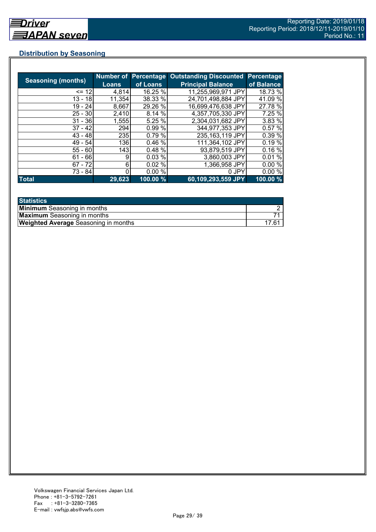## **Distribution by Seasoning**

|                           |        | <b>Number of Percentage</b> | <b>Outstanding Discounted</b> | <b>Percentage</b> |
|---------------------------|--------|-----------------------------|-------------------------------|-------------------|
| <b>Seasoning (months)</b> | Loans  | of Loans                    | <b>Principal Balance</b>      | of Balance        |
| $= 12$                    | 4,814  | 16.25 %                     | 11,255,969,971 JPY            | 18.73 %           |
| 13 - 18                   | 11,354 | 38.33 %                     | 24.701,498,884 JPY            | 41.09 %           |
| $19 - 24$                 | 8,667  | 29.26 %                     | 16,699,476,638 JPY            | 27.78 %           |
| $25 - 30$                 | 2,410  | 8.14 %                      | 4,357,705,330 JPY             | 7.25 %            |
| $31 - 36$                 | 1,555  | 5.25 %                      | 2,304,031,682 JPY             | 3.83 %            |
| $37 - 42$                 | 294    | 0.99 %                      | 344,977,353 JPY               | 0.57%             |
| $43 - 48$                 | 235    | 0.79%                       | 235, 163, 119 JPY             | 0.39 %            |
| $49 - 54$                 | 136    | 0.46%                       | 111,364,102 JPY               | 0.19%             |
| $55 - 60$                 | 143    | 0.48%                       | 93,879,519 JPY                | 0.16%             |
| $61 - 66$                 | 9      | 0.03%                       | 3,860,003 JPY                 | 0.01%             |
| $67 - 72$                 | 6      | 0.02%                       | 1,366,958 JPY                 | 0.00%             |
| 73 - 84                   |        | 0.00%                       | 0 JPY                         | 0.00%             |
| <b>Total</b>              | 29,623 | 100.00 %                    | 60,109,293,559 JPY            | 100.00 %          |

| <b>Statistics</b>                           |          |
|---------------------------------------------|----------|
| <b>Minimum</b> Seasoning in months          |          |
| <b>Maximum</b> Seasoning in months          |          |
| <b>Weighted Average Seasoning in months</b> | $17.6^*$ |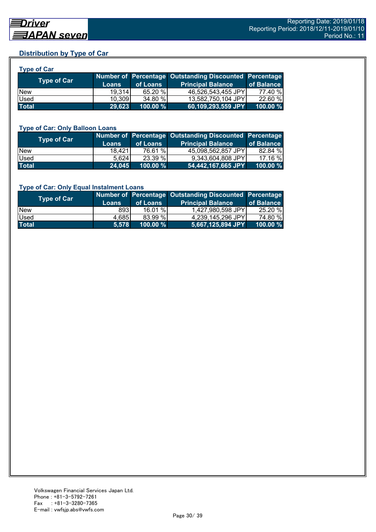## **Distribution by Type of Car**

| <b>Type of Car</b> |              |          |                                                        |            |
|--------------------|--------------|----------|--------------------------------------------------------|------------|
| <b>Type of Car</b> |              |          | Number of Percentage Outstanding Discounted Percentage |            |
|                    | <b>Loans</b> | of Loans | <b>Principal Balance</b>                               | of Balance |
| New                | 19.314       | 65.20 %  | 46,526,543,455 JPY                                     | 77.40 %    |
| Used               | 10,309       | 34.80 %  | 13,582,750,104 JPY                                     | 22.60 %    |
| <b>Total</b>       | 29,623       | 100.00 % | 60,109,293,559 JPY                                     | 100.00 %   |

#### **Type of Car: Only Balloon Loans**

| Type of Car  | <b>Loans</b> | of Loans    | Number of Percentage Outstanding Discounted Percentage<br><b>Principal Balance</b> | of Balance  |
|--------------|--------------|-------------|------------------------------------------------------------------------------------|-------------|
| <b>New</b>   | 18.421       | 76.61 %     | 45,098,562,857 JPY                                                                 | 82.84 %     |
| Used         | 5.624        | 23.39 %     | 9.343.604.808 JPYI                                                                 | 17.16 %     |
| <b>Total</b> | 24,045       | $100.00 \%$ | 54,442,167,665 JPY                                                                 | $100.00 \%$ |

#### **Type of Car: Only Equal Instalment Loans**

| Type of Car  | <b>Loans</b> | of Loans    | Number of Percentage Outstanding Discounted Percentage<br><b>Principal Balance</b> | of Balance |
|--------------|--------------|-------------|------------------------------------------------------------------------------------|------------|
| <b>New</b>   | 8931         | 16.01%      | 1,427,980,598 JPY                                                                  | 25.20 %    |
| Used         | 4,685        | 83.99 %     | 4,239,145,296 JPY                                                                  | 74.80 %    |
| <b>Total</b> | 5.578        | $100.00 \%$ | $ 5,667,125,894$ JPY $ $                                                           | 100.00 %   |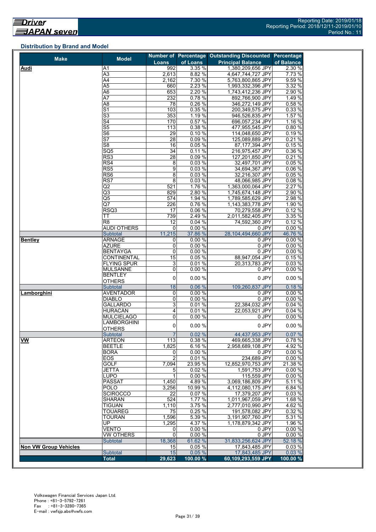#### **Distribution by Brand and Model**

| <b>Make</b>                  | <b>Model</b>             |                |          | Number of Percentage Outstanding Discounted Percentage |            |
|------------------------------|--------------------------|----------------|----------|--------------------------------------------------------|------------|
|                              |                          | <b>Loans</b>   | of Loans | <b>Principal Balance</b>                               | of Balance |
| Audi                         | A1                       | 992            | 3.35 %   | 1,380,209,656 JPY                                      | 2.30 %     |
|                              | A3                       | 2,613          | 8.82 %   | 4,647,744,727 JPY                                      | 7.73 %     |
|                              | $\overline{A4}$          | 2,162          | 7.30 %   | 5,763,800,865 JPY                                      | 9.59%      |
|                              | $\overline{A5}$          | 660            | 2.23 %   | 1,993,332,396 JPY                                      | 3.32 %     |
|                              | A6                       | 653            | 2.20 %   | 1,743,412,236 JPY                                      | 2.90 %     |
|                              | A7                       | 232            | 0.78%    | 892,766,900 JPY                                        | 1.49 %     |
|                              | A <sub>8</sub>           | 78             | 0.26%    | 346,272,149 JPY                                        | 0.58%      |
|                              | S <sub>1</sub>           | 103            | 0.35%    | 200,349,575 JPY                                        | 0.33%      |
|                              | S3                       | 353            | 1.19 %   | 946,526,835 JPY                                        | 1.57 %     |
|                              | S <sub>4</sub>           | 170            | 0.57 %   | 696,057,234 JPY                                        | 1.16%      |
|                              | S <sub>5</sub>           | 113            | 0.38%    | 477,955,545 JPY                                        | 0.80%      |
|                              | $\overline{\mathsf{S6}}$ | 29             | 0.10%    | 114,048,650 JPY                                        | 0.19%      |
|                              | $\overline{\mathsf{S}7}$ | 28             | 0.09%    | 125,089,889 JPY                                        | 0.21%      |
|                              | S <sub>8</sub>           | 16             | 0.05%    | 87,177,394 JPY                                         | 0.15%      |
|                              | SQ <sub>5</sub>          | 34             | 0.11%    | 216,975,457 JPY                                        | 0.36 %     |
|                              | RS <sub>3</sub>          | 28             | 0.09%    | 127,201,850 JPY                                        | 0.21%      |
|                              | RS4                      | 8              | 0.03%    | 32,497,701 JPY                                         | 0.05%      |
|                              | RS <sub>5</sub>          | 9              | 0.03%    | 34,694,367 JPY                                         | 0.06%      |
|                              | RS <sub>6</sub>          | 8              | 0.03%    | 32,216,307 JPY                                         | 0.05%      |
|                              | RS7                      | 8              | 0.03%    | 48,066,985 JPY                                         | 0.08%      |
|                              | $\overline{Q}$           | 521            | 1.76 %   | 1,363,000,064 JPY                                      | 2.27 %     |
|                              | $\overline{\mathsf{Q3}}$ | 829            | 2.80 %   | 1,745,674,148 JPY                                      | 2.90 %     |
|                              | Q5                       | 574            | 1.94 %   | 1,789,585,629 JPY                                      | 2.98 %     |
|                              | Q7                       | 226            | 0.76%    | 1,143,383,778 JPY                                      | 1.90 %     |
|                              | RSQ3                     | 17             | 0.06%    | 70,279,558 JPY                                         | 0.12%      |
|                              | ТT                       | 739            | 2.49 %   | 2,011,582,405 JPY                                      | 3.35 %     |
|                              | R <sub>8</sub>           | 12             | 0.04%    | 74,592,360 JPY                                         | 0.12%      |
|                              | <b>AUDI OTHERS</b>       | $\mathbf 0$    | 0.00%    | 0 JPY                                                  | 0.00%      |
|                              | Subtotal                 | 11,215         | 37.86 %  | 28,104,494,660 JPY                                     | 46.76 %    |
| <b>Bentley</b>               | <b>ARNAGE</b>            | 0              | 0.00%    | 0 JPY                                                  | 0.00%      |
|                              | <b>AZURE</b>             | 0              | 0.00%    | 0 JPY                                                  | 0.00%      |
|                              | <b>BENTAYGA</b>          | 0              | 0.00%    | $0$ JPY                                                | 0.00%      |
|                              | <b>CONTINENTAL</b>       | 15             | 0.05%    | 88,947,054 JPY                                         | 0.15%      |
|                              | <b>FLYING SPUR</b>       | 3              | 0.01%    | 20,313,783 JPY                                         | 0.03%      |
|                              | <b>MULSANNE</b>          | 0              | 0.00%    | 0 JPY                                                  | 0.00%      |
|                              | <b>BENTLEY</b>           | 0              | 0.00%    | 0 JPY                                                  | 0.00%      |
|                              | <b>OTHERS</b>            |                |          |                                                        |            |
|                              | Subtotal                 | 18             | 0.06%    | 109,260,837 JPY                                        | 0.18%      |
| Lamborghini                  | <b>AVENTADOR</b>         | 0              | 0.00%    | 0 JPY                                                  | 0.00%      |
|                              | <b>DIABLO</b>            | 0              | 0.00%    | 0 JPY                                                  | 0.00 %     |
|                              | <b>GALLARDO</b>          | 3              | 0.01%    | 22.384.032 JPY                                         | 0.04%      |
|                              | <b>HURACÁN</b>           | 4              | 0.01%    | 22,053,921 JPY                                         | 0.04%      |
|                              | <b>MULCIELAGO</b>        | 0              | 0.00%    | 0 JPY                                                  | 0.00%      |
|                              | <b>LAMBORGHINI</b>       | 0              | 0.00%    | 0 JPY                                                  | 0.00%      |
|                              | <b>OTHERS</b>            |                |          |                                                        |            |
|                              | Subtotal                 | $\overline{7}$ | 0.02%    | 44,437,953 JPY                                         | 0.07%      |
| <b>VW</b>                    | <b>ARTEON</b>            | 113            | 0.38 %   | 469,665,338 JPY                                        | 0.78%      |
|                              | <b>BEETLE</b>            | 1,825          | 6.16%    | 2,958,689,108 JPY                                      | 4.92 %     |
|                              | <b>BORA</b>              | 0              | 0.00%    | 0 JPY                                                  | 0.00%      |
|                              | <b>EOS</b>               | $\overline{2}$ | 0.01%    | 234,689 JPY                                            | 0.00%      |
|                              | <b>GOLF</b>              | 7,094          | 23.95 %  | 12,852,970,753 JPY                                     | 21.38 %    |
|                              | JETTA                    | 5              | 0.02%    | 1,591,753 JPY                                          | 0.00%      |
|                              | LUPO                     | 1              | 0.00%    | 115,559 JPY                                            | 0.00%      |
|                              | <b>PASSAT</b>            | 1,450          | 4.89 %   | 3,069,186,809 JPY                                      | 5.11 %     |
|                              | <b>POLO</b>              | 3,256          | 10.99 %  | 4,112,080,175 JPY                                      | 6.84 %     |
|                              | <b>SCIROCCO</b>          | 22             | 0.07%    | 17,379,207 JPY                                         | 0.03%      |
|                              | <b>SHARAN</b>            | 524            | 1.77 %   | 1,011,967,059 JPY                                      | 1.68 %     |
|                              | <b>TIGUAN</b>            | 1,110          | 3.75 %   | 2,777,010,990 JPY                                      | 4.62%      |
|                              | <b>TOUAREG</b>           | 75             | 0.25 %   | 191.578.082 JPY                                        | 0.32 %     |
|                              | <b>TOURAN</b>            | 1,596          | 5.39 %   | 3,191,907,760 JPY                                      | 5.31 %     |
|                              | UP.                      | 1,295          | 4.37 %   | 1,178,879,342 JPY                                      | 1.96 %     |
|                              | <b>VENTO</b>             | 0              | 0.00%    | 0 JPY                                                  | 0.00%      |
|                              | <b>VW OTHERS</b>         | $\mathbf 0$    | 0.00%    | 0 JPY                                                  | 0.00%      |
|                              | Subtotal                 | 18,368         | 61.62 %  | 31,833,256,624 JPY                                     | 52.18 %    |
| <b>Non VW Group Vehicles</b> |                          | 15             | 0.05%    | 17,843,485 JPY                                         | 0.03%      |
|                              | Subtotal                 | 15             | 0.05%    | 17,843,485 JPY                                         | 0.03%      |
|                              | <b>Total</b>             | 29,623         | 100.00 % | 60,109,293,559 JPY                                     | 100.00 %   |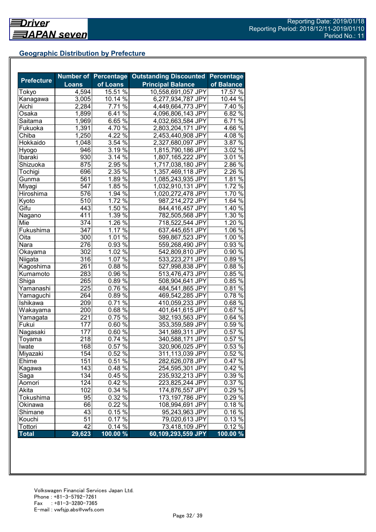## **Geographic Distribution by Prefecture**

| <b>Prefecture</b> |                  |                     | Number of Percentage Outstanding Discounted | <b>Percentage</b> |
|-------------------|------------------|---------------------|---------------------------------------------|-------------------|
|                   | <b>Loans</b>     | of Loans            | <b>Principal Balance</b>                    | of Balance        |
| Tokyo             | 4,594            | $15.51\%$           | 10,558,691,057 JPY                          | 17.57 %           |
| Kanagawa          | 3,005            | $10.14\%$           | 6,277,934,787 JPY                           | 10.44 %           |
| Aichi             | 2,284            | 7.71 %              | 4,449,664,773 JPY                           | 7.40 %            |
| Osaka             | 1,899            | $6.41\%$            | 4,096,806,143 JPY                           | 6.82 $\sqrt{2}$   |
| Saitama           | 1,969            | $6.65\%$            | 4,032,663,584 JPY                           | 6.71 %            |
| Fukuoka           | 1,391            | 4.70%               | 2,803,204,171 JPY                           | 4.66 %            |
| Chiba             | 1,250            | $4.22\%$            | 2,453,440,908 JPY                           | $4.08\%$          |
| Hokkaido          | 1,048            | 3.54%               | 2,327,680,097 JPY                           | 3.87 $\sqrt{8}$   |
| Hyogo             | 946              | 3.19 $\sqrt{8}$     | 1,815,790,186 JPY                           | $3.02\%$          |
| Ibaraki           | 930              | 3.14%               | 1,807,165,222 JPY                           | 3.01%             |
| Shizuoka          | 875              | 2.95 %              | 1,717,038,180 JPY                           | 2.86 %            |
| Tochigi           | 696              | 2.35 %              | 1,357,469,118 JPY                           | 2.26 %            |
| Gunma             | 561              | 1.89%               | 1,085,243,935 JPY                           | 1.81%             |
| Miyagi            | 547              | $1.85\%$            | 1,032,910,131 JPY                           | 1.72 %            |
| Hiroshima         | 576              | 1.94 %              | 1,020,272,478 JPY                           | 1.70%             |
| Kyoto             | 510              | $1.72\%$            | 987,214,272 JPY                             | 1.64%             |
| Gifu              | 443              | 1.50 %              | 844,416,457 JPY                             | 1.40 %            |
| Nagano            | 411              | $1.39\%$            | 782,505,568 JPY                             | 1.30 %            |
| Mie               | 374              | $1.\overline{26\%}$ | 718,522,544 JPY                             | 1.20 %            |
| Fukushima         | 347              | 1.17%               | 637,445,651 JPY                             | $1.06\%$          |
| Oita              | $\overline{300}$ | 1.01%               | 599,867,523 JPY                             | 1.00%             |
| Nara              | 276              | $0.93\sqrt{6}$      | 559,268,490 JPY                             | 0.93%             |
| Okayama           | 302              | 1.02%               | 542,809,810 JPY                             | 0.90%             |
| Niigata           | 316              | 1.07 %              | 533,223,271 JPY                             | $0.89\%$          |
| Kagoshima         | 261              | $0.88\%$            | 527,998,838 JPY                             | 0.88%             |
| Kumamoto          | 283              | $0.96\%$            | 513,476,473 JPY                             | 0.85%             |
| Shiga             | 265              | $0.89\%$            | 508,904,641 JPY                             | $0.85\%$          |
| Yamanashi         | 225              | 0.76 %              | 484,541,865 JPY                             | 0.81%             |
| Yamaguchi         | 264              | $0.89\sqrt{6}$      | 469,542,285 JPY                             | $0.78\%$          |
| Ishikawa          | 209              | $0.71\%$            | 410,059,233 JPY                             | $0.68\%$          |
| Wakayama          | 200              | $0.68\sqrt{6}$      | 401,641,615 JPY                             | $0.67\%$          |
| Yamagata          | 221              | 0.75%               | 382,193,563 JPY                             | $0.64\%$          |
| Fukui             | 177              | $0.60\,\sqrt{6}$    | 353,359,589 JPY                             | $0.59\%$          |
| Nagasaki          | 177              | 0.60%               | 341,989,311 JPY                             | 0.57%             |
| Toyama            | 218              | 0.74%               | 340,588,171 JPY                             | 0.57%             |
| Iwate             | 168              | 0.57%               | 320,906,025 JPY                             | 0.53%             |
| Miyazaki          | 154              | 0.52%               | 311,113,039 JPY                             | 0.52%             |
| Ehime             | 151              | $0.51\%$            | 282,626,078 JPY                             | $0.47\%$          |
| Kagawa            | 143              | 0.48%               | 254,595,301 JPY                             | $0.42\%$          |
| Saga              | 134              | 0.45 %              | 235,932,213 JPY                             | 0.39 %            |
| Aomori            | 124              | 0.42 %              | 223,825,244 JPY                             | 0.37%             |
| Akita             | 102              | 0.34%               | 174,876,557 JPY                             | $0.29\%$          |
| Tokushima         | 95               | 0.32 %              | 173,197,786 JPY                             | 0.29 %            |
| Okinawa           | 66               | 0.22%               | 108,994,691 JPY                             | 0.18%             |
| Shimane           | 43               | $0.15\,\sqrt{6}$    | 95,243,963 JPY                              | 0.16%             |
| Kouchi            | 51               | $0.17\%$            | 79,020,613 JPY                              | 0.13%             |
| Tottori           | 42               | 0.14%               | 73,418,109 JPY                              | 0.12%             |
| <b>Total</b>      | 29,623           | 100.00 %            | 60,109,293,559 JPY                          | 100.00 %          |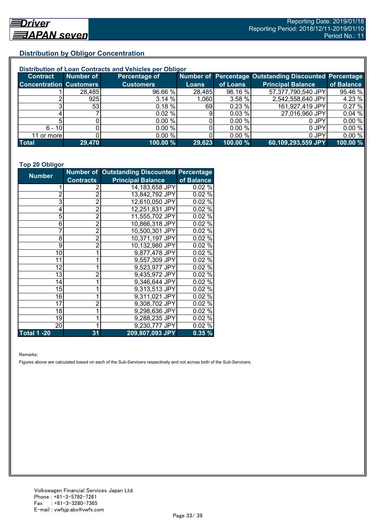## **Distribution by Obligor Concentration**

| Distribution of Loan Contracts and Vehicles per Obligor |                 |                  |              |          |                                                        |            |  |
|---------------------------------------------------------|-----------------|------------------|--------------|----------|--------------------------------------------------------|------------|--|
| <b>Contract</b>                                         | Number of       | Percentage of    |              |          | Number of Percentage Outstanding Discounted Percentage |            |  |
| <b>Concentration Customers</b>                          |                 | <b>Customers</b> | <b>Loans</b> | of Loans | <b>Principal Balance</b>                               | of Balance |  |
|                                                         | 28,485          | 96.66 %          | 28,485       | 96.16 %  | 57,377,790,540 JPY                                     | 95.46 %    |  |
|                                                         | 925             | 3.14%            | 1,060        | 3.58 %   | 2,542,558,640 JPY                                      | 4.23 %     |  |
|                                                         | 53 <sub>l</sub> | $0.18 \%$        | 69           | 0.23%    | 161,927,419 JPY                                        | 0.27%      |  |
|                                                         |                 | 0.02%            | 9            | 0.03%    | 27,016,960 JPY                                         | 0.04%      |  |
|                                                         |                 | 0.00%            |              | 0.00 %   | 0 JPY                                                  | 0.00%      |  |
| $6 - 10$                                                |                 | 0.00 %           |              | 0.00%    | 0 JPY                                                  | 0.00%      |  |
| 11 or morel                                             |                 | $0.00 \%$        |              | 0.00 %   | 0 JPY                                                  | 0.00%      |  |
| <b>Total</b>                                            | 29,470          | 100.00 %         | 29,623       | 100.00 % | 60,109,293,559 JPY                                     | 100.00 %   |  |

#### **Top 20 Obligor**

| <b>Number</b>      |                  | <b>Number of Outstanding Discounted Percentage</b> |            |
|--------------------|------------------|----------------------------------------------------|------------|
|                    | <b>Contracts</b> | <b>Principal Balance</b>                           | of Balance |
| 1                  | 2                | 14,183,658 JPY                                     | 0.02%      |
| $\overline{c}$     | $\overline{2}$   | 13,842,792 JPY                                     | 0.02%      |
| 3                  | $\overline{2}$   | 12,610,050 JPY                                     | 0.02%      |
| 4                  | $\bar{2}$        | 12,251,831 JPY                                     | 0.02%      |
| 5                  | $\overline{c}$   | 11,555,702 JPY                                     | 0.02%      |
| 6                  | $\bar{2}$        | 10,866,318 JPY                                     | 0.02%      |
| 7                  | $\overline{2}$   | 10,500,301 JPY                                     | 0.02%      |
| 8                  | $\overline{2}$   | 10,371,197 JPY                                     | 0.02%      |
| 9                  | $\bar{2}$        | 10,132,980 JPY                                     | 0.02%      |
| 10                 | 1                | 9,877,478 JPY                                      | 0.02%      |
| 11                 | 1                | 9,557,309 JPY                                      | 0.02%      |
| 12                 |                  | 9,523,977 JPY                                      | 0.02%      |
| 13                 | $\overline{2}$   | 9,435,972 JPY                                      | 0.02%      |
| 14                 | 1                | 9,346,644 JPY                                      | 0.02%      |
| 15                 | 1                | 9,313,513 JPY                                      | 0.02%      |
| 16                 | 1                | 9,311,021 JPY                                      | $0.02\%$   |
| 17                 | $\overline{2}$   | 9,308,702 JPY                                      | 0.02%      |
| 18                 |                  | 9,298,636 JPY                                      | 0.02%      |
| 19                 |                  | 9,288,235 JPY                                      | 0.02%      |
| 20                 | 1                | 9,230,777 JPY                                      | 0.02%      |
| <b>Total 1 -20</b> | 31               | 209,807,093 JPY                                    | 0.35%      |

Remarks:

Figures above are calculated based on each of the Sub-Servicers respectively and not across both of the Sub-Servicers.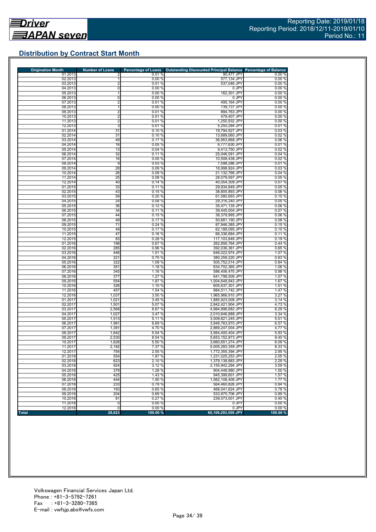## **Distribution by Contract Start Month**

| <b>Origination Month</b> | <b>Number of Loans</b> | <b>Percentage of Loans</b> | Outstanding Discounted Principal Balance Percentage of Balance |                  |
|--------------------------|------------------------|----------------------------|----------------------------------------------------------------|------------------|
| 01.2013<br>02.2013       | 2                      | 0.01%<br>0.00%             | 90,477 JPY<br>577,134 JPY                                      | 0.00%<br>0.00%   |
| 03.2013                  | 2                      | 0.01%                      | 537.046 JPY                                                    | 0.00%            |
| 04.2013                  | 0                      | 0.00%                      | 0 JPY                                                          | 0.00%            |
| 05.2013                  |                        | 0.00%                      | 162,301 JPY                                                    | 0.00%            |
| 06.2013                  | 0                      | 0.00%                      | 0 JPY                                                          | 0.00%            |
| 07.2013                  | 2                      | 0.01%                      | 495,164 JPY                                                    | 0.00%            |
| 08.2013<br>09.2013       | $\overline{2}$         | 0.00%<br>0.01%             | 739,737 JPY<br>894,763 JPY                                     | 0.00%<br>0.00%   |
| 10.2013                  | $\overline{2}$         | 0.01%                      | 479,407 JPY                                                    | 0.00%            |
| 11.2013                  | $\overline{2}$         | 0.01%                      | 1,250,932 JPY                                                  | 0.00%            |
| 12.2013                  | 3                      | 0.01%                      | 5,250,284 JPY                                                  | 0.01%            |
| 01.2014                  | 31                     | 0.10%                      | 19,794,927 JPY                                                 | 0.03%            |
| 02.2014<br>03.2014       | 31                     | 0.10%                      | 13,689,060 JPY                                                 | 0.02%            |
| 04.2014                  | 49<br>16               | 0.17%<br>0.05%             | 36,953,868 JPY<br>8,777,630 JPY                                | 0.06%<br>0.01%   |
| 05.2014                  | 13                     | 0.04%                      | 9,413,750 JPY                                                  | 0.02%            |
| 06.2014                  | 32                     | 0.11%                      | 25,046,091 JPY                                                 | 0.04%            |
| 07.2014                  | 16                     | 0.05%                      | 10,508,438 JPY                                                 | 0.02%            |
| 08.2014                  | 9                      | 0.03%                      | 7,598,286 JPY                                                  | 0.01%            |
| 09.2014<br>10.2014       | 28<br>26               | 0.09%<br>0.09%             | 18,998,924 JPY                                                 | 0.03%<br>0.04%   |
| 11.2014                  | 25                     | 0.08%                      | 21,132,766 JPY<br>28,079,597 JPY                               | 0.05%            |
| 12.2014                  | 40                     | 0.14%                      | 40,054,309 JPY                                                 | 0.07%            |
| 01.2015                  | 33                     | 0.11%                      | 29,934,849 JPY                                                 | 0.05%            |
| 02.2015                  | 43                     | 0.15%                      | 38,805,893 JPY                                                 | 0.06%            |
| 03.2015                  | 59                     | 0.20%                      | 61,580,693 JPY                                                 | 0.10%            |
| 04.2015<br>05.2015       | 24<br>36               | 0.08%<br>0.12%             | 29,316,240 JPY                                                 | 0.05%<br>0.06%   |
| 06.2015                  | 34                     | 0.11%                      | 35,471,135 JPY<br>39,445,004 JPY                               | 0.07%            |
| 07.2015                  | 44                     | 0.15%                      | 38.379.995 JPY                                                 | 0.06%            |
| 08.2015                  | 49                     | 0.17%                      | 50,681,190 JPY                                                 | 0.08%            |
| 09.2015                  | $\overline{71}$        | 0.24%                      | 87,946,385 JPY                                                 | 0.15%            |
| 10.2015                  | 49                     | 0.17%                      | 62.188.095 JPY                                                 | 0.10%            |
| 11.2015<br>12.2015       | 47<br>83               | 0.16%<br>0.28%             | 66,336,684 JPY<br>117,103,849 JPY                              | 0.11%<br>0.19%   |
| 01.2016                  | 198                    | 0.67%                      | 262,856,764 JPY                                                | 0.44%            |
| 02.2016                  | 285                    | 0.96%                      | 392,036,361 JPY                                                | 0.65%            |
| 03.2016                  | 446                    | 1.51 %                     | 646,022,974 JPY                                                | 1.07 %           |
| 04.2016                  | 221                    | 0.75%                      | 380,259,220 JPY                                                | 0.63%            |
| 05.2016                  | 322                    | 1.09 %                     | 505,752,514 JPY                                                | 0.84%            |
| 06.2016<br>07.2016       | 351<br>345             | 1.18 %<br>1.16 %           | 634,702,365 JPY<br>586,406,470 JPY                             | 1.06 %<br>0.98%  |
| 08.2016                  | 377                    | 1.27 %                     | 641,798,509 JPY                                                | 1.07%            |
| 09.2016                  | 554                    | 1.87 %                     | 1,004,648,943 JPY                                              | 1.67 %           |
| 10.2016                  | 326                    | 1.10 %                     | 605,637,301 JPY                                                | 1.01%            |
| 11.2016                  | 457                    | 1.54 %                     | 884,511,742 JPY                                                | 1.47%            |
| 12.2016<br>01.2017       | 1,037<br>1,021         | 3.50 %<br>3.45 %           | 1,965,966,910 JPY<br>1,885,923,009 JPY                         | 3.27 %<br>3.14 % |
| 02.2017                  | 1,501                  | 5.07 %                     | 2,842,421,904 JPY                                              | 4.73%            |
| 03.2017                  | 2,568                  | 8.67%                      | 4,984,896,682 JPY                                              | 8.29 %           |
| 04.2017                  | 1,027                  | 3.47 %                     | 2,010,646,888 JPY                                              | 3.34 %           |
| 05.2017                  | 1,513                  | 5.11 %                     | 3.009.621.245 JPY                                              | 5.01%            |
| 06.2017<br>07.2017       | 1,981                  | 6.69 %<br>4.70 %           | 3,948,763,970 JPY<br>2.869.247.004 JPY                         | 6.57 %<br>4.77%  |
| 08.2017                  | 1,391<br>1,642         | 5.54 %                     | 3.564.400.404 JPY                                              | 5.93 %           |
| 09.2017                  | 2,530                  | 8.54 %                     | 5.653.152.873 JPY                                              | 9.40%            |
| 10.2017                  | 1,628                  | 5.50 %                     | 3,660,651,274 JPY                                              | 6.09%            |
| 11.2017                  | 2,182                  | 7.37 %                     | 5,005,283,359 JPY                                              | 8.33%            |
| 12.2017                  | 754                    | 2.55%                      | 1,772,355,394 JPY                                              | 2.95 %           |
| 01.2018<br>02.2018       | 554<br>623             | 1.87 %<br>2.10 %           | 1,231,025,253 JPY<br>1,379,138,883 JPY                         | 2.05%<br>2.29 %  |
| 03.2018                  | 924                    | 3.12%                      | 2,155,942,294 JPY                                              | 3.59 %           |
| 04.2018                  | 379                    | 1.28 %                     | 904,448,980 JPY                                                | 1.50 %           |
| 05.2018                  | 425                    | 1.43 %                     | 945,399,601 JPY                                                | 1.57 %           |
| 06.2018                  | 444                    | 1.50 %                     | 1,062,108,409 JPY                                              | 1.77%            |
| 07.2018                  | 233                    | 0.79%                      | 564.460.826 JPY                                                | 0.94%            |
| 08.2018<br>09.2018       | 193<br>204             | 0.65 %<br>0.69%            | 468,041,624 JPY<br>533,975,706 JPY                             | 0.78%<br>0.89%   |
| 10.2018                  | 81                     | 0.27%                      | 239.073.001 JPY                                                | 0.40%            |
| 11.2018                  | 0                      | 0.00%                      | 0 JPY                                                          | 0.00%            |
| 12.2018                  | 0                      | 0.00%                      | 0 JPY                                                          | 0.00%            |
| <b>Total</b>             | 29,623                 | 100.00 %                   | 60,109,293,559 JPY                                             | 100.00 %         |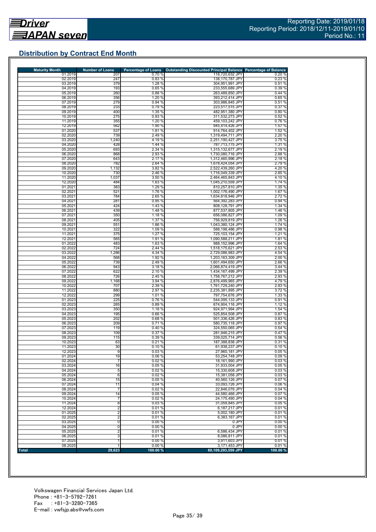## **Distribution by Contract End Month**

| <b>Maturity Month</b> | <b>Number of Loans</b>  | <b>Percentage of Loans</b> | Outstanding Discounted Principal Balance Percentage of Balance |                  |
|-----------------------|-------------------------|----------------------------|----------------------------------------------------------------|------------------|
| 01.2019               | 207                     | 0.70%                      | 118,720,632 JPY                                                | 0.20%            |
| 02.2019<br>03.2019    | 247<br>379              | 0.83%<br>1.28 %            | 138,170,787 JPY<br>304,951,991 JPY                             | 0.23%<br>0.51%   |
| 04.2019               | 193                     | 0.65%                      | 233,555,689 JPY                                                | 0.39%            |
| 05.2019               | 260                     | 0.88 %                     | 263,489,850 JPY                                                | 0.44%            |
| 06.2019               | 356                     | 1.20 %                     | 393,212,414 JPY                                                | 0.65%            |
| 07.2019<br>08.2019    | 279<br>233              | 0.94%<br>0.79%             | 303,986,845 JPY<br>223.517.515 JPY                             | 0.51%<br>0.37%   |
| 09.2019               | 400                     | 1.35 %                     | 482,951,380 JPY                                                | 0.80%            |
| 10.2019               | 275                     | 0.93 %                     | 311,532,273 JPY                                                | 0.52%            |
| 11.2019               | 355                     | 1.20 %                     | 459,103,242 JPY                                                | 0.76%            |
| 12.2019               | 562                     | 1.90 %                     | 945,414,426 JPY                                                | 1.57 %           |
| 01.2020<br>02.2020    | 537<br>739              | 1.81%<br>2.49 %            | 914,764,402 JPY<br>1,319,494,711 JPY                           | 1.52 %<br>2.20%  |
| 03.2020               | 1,240                   | 4.19%                      | 2,251,190,427 JPY                                              | 3.75%            |
| 04.2020               | 428                     | 1.44 %                     | 787,713,775 JPY                                                | 1.31 %           |
| 05.2020               | 693                     | 2.34 %                     | 1,315,132,677 JPY                                              | 2.19%            |
| 06.2020               | 868<br>643              | 2.93 %                     | 1,730,080,716 JPY                                              | 2.88%            |
| 07.2020<br>08.2020    | 782                     | 2.17 %<br>2.64 %           | 1,312,460,996 JPY<br>1,678,424,054 JPY                         | 2.18%<br>2.79%   |
| 09.2020               | 1,132                   | 3.82 %                     | 2,522,439,260 JPY                                              | 4.20%            |
| 10.2020               | 730                     | 2.46 %                     | 1,716,049,339 JPY                                              | 2.85%            |
| 11.2020               | 1,037                   | 3.50 %                     | 2,464,465,843 JPY                                              | 4.10%            |
| 12.2020               | 484<br>383              | 1.63 %                     | 1,045,210,559 JPY                                              | 1.74 %           |
| 01.2021<br>02.2021    | 521                     | 1.29 %<br>1.76 %           | 810,257,810 JPY<br>1,002,176,490 JPY                           | 1.35 %<br>1.67%  |
| 03.2021               | 784                     | 2.65 %                     | 1,634,818,946 JPY                                              | 2.72 %           |
| 04.2021               | 281                     | 0.95%                      | 564,392,283 JPY                                                | 0.94%            |
| 05.2021               | 424                     | 1.43%                      | 808,128,791 JPY                                                | 1.34 %           |
| 06.2021<br>07.2021    | 439<br>350              | 1.48 %<br>1.18 %           | 877,537,805 JPY<br>656,086,827 JPY                             | 1.46 %<br>1.09%  |
| 08.2021               | 405                     | 1.37 %                     | 756,929,819 JPY                                                | 1.26 %           |
| 09.2021               | 551                     | 1.86 %                     | 1.043.380.124 JPY                                              | 1.74 %           |
| 10.2021               | 322                     | 1.09 %                     | 588,198,486 JPY                                                | 0.98%            |
| 11.2021               | 375                     | 1.27 %                     | 725,103,154 JPY                                                | 1.21 %           |
| 12.2021<br>01.2022    | 565<br>483              | 1.91 %<br>1.63 %           | 1,090,588,211 JPY<br>988, 152, 996 JPY                         | 1.81%<br>1.64 %  |
| 02.2022               | 724                     | 2.44 %                     | 1,518,175,621 JPY                                              | 2.53 %           |
| 03.2022               | 1,286                   | 4.34 %                     | 2,729,086,983 JPY                                              | 4.54 %           |
| 04.2022               | 568                     | 1.92 %                     | 1,203,163,309 JPY                                              | 2.00%            |
| 05.2022<br>06.2022    | 739<br>943              | 2.49%                      | 1,601,494,650 JPY<br>2,066,874,419 JPY                         | 2.66%<br>3.44 %  |
| 07.2022               | 622                     | 3.18%<br>2.10 %            | 1,434,167,499 JPY                                              | 2.39 %           |
| 08.2022               | 726                     | 2.45 %                     | 1,758,767,212 JPY                                              | 2.93 %           |
| 09.2022               | 1,168                   | 3.94 %                     | 2,876,499,965 JPY                                              | 4.79%            |
| 10.2022               | 707                     | 2.39 %                     | 1,761,729,240 JPY                                              | 2.93%            |
| 11.2022<br>12.2022    | 880<br>299              | 2.97 %<br>1.01 %           | 2,235,381,895 JPY<br>797,754,676 JPY                           | 3.72 %<br>1.33 % |
| 01.2023               | 225                     | 0.76%                      | 544,095,133 JPY                                                | 0.91%            |
| 02.2023               | 265                     | 0.89%                      | 674,904,116 JPY                                                | 1.12 %           |
| 03.2023               | 350                     | 1.18 %                     | 924,971,994 JPY                                                | 1.54 %           |
| 04.2023               | 195<br>202              | 0.66%                      | 525,854,508 JPY                                                | 0.87%<br>0.83%   |
| 05.2023<br>06.2023    | 209                     | 0.68%<br>0.71%             | 501,336,426 JPY<br>580,735,118 JPY                             | 0.97%            |
| 07.2023               | 119                     | 0.40%                      | 324,550,065 JPY                                                | 0.54 %           |
| 08.2023               | 109                     | 0.37%                      | 281,946,215 JPY                                                | 0.47%            |
| 09.2023               | 115                     | 0.39 %                     | 339,025,714 JPY                                                | 0.56%            |
| 10.2023<br>11.2023    | 63<br>30                | 0.21%<br>0.10%             | 187.388.838 JPY<br>61,938,237 JPY                              | 0.31%<br>0.10%   |
| 12.2023               | 9                       | 0.03%                      | 27,960,181 JPY                                                 | 0.05%            |
| 01.2024               | 19                      | 0.06 %                     | 53,254,748 JPY                                                 | 0.09%            |
| 02.2024               | 7                       | 0.02%                      | 18.161.990 JPY                                                 | 0.03%            |
| 03.2024               | 16                      | 0.05 %                     | 31.933.004 JPY<br>15,330,608 JPY                               | 0.05 %           |
| 04.2024<br>05.2024    | 5<br>6                  | 0.02%<br>0.02%             | 15,381,056 JPY                                                 | 0.03%<br>0.03%   |
| 06.2024               | 15                      | 0.05%                      | 40,560,126 JPY                                                 | 0.07%            |
| 07.2024               | 11                      | 0.04%                      | 33,093,726 JPY                                                 | 0.06%            |
| 08.2024               | $\overline{7}$          | 0.02%                      | 22,846,076 JPY                                                 | 0.04%            |
| 09.2024               | 14                      | 0.05%<br>0.02%             | 44.580.466 JPY                                                 | 0.07%<br>0.04%   |
| 10.2024<br>11.2024    | $\overline{7}$<br>8     | 0.03%                      | 24,175,490 JPY<br>31,059,845 JPY                               | 0.05%            |
| 12.2024               | 2                       | 0.01%                      | 6,187,217 JPY                                                  | 0.01%            |
| 01.2025               | $\overline{2}$          | 0.01%                      | 5,002,180 JPY                                                  | 0.01%            |
| 02.2025               | $\overline{\mathbf{c}}$ | 0.01%                      | 6,383,167 JPY                                                  | 0.01%            |
| 03.2025               | $\pmb{0}$               | 0.00%                      | 0 JPY                                                          | 0.00%            |
| 04.2025<br>05.2025    | 0<br>2                  | 0.00%<br>0.01%             | 0 JPY<br>6,586,434 JPY                                         | 0.00%<br>0.01%   |
| 06.2025               | 3                       | 0.01%                      | 8,086,811 JPY                                                  | 0.01%            |
| 07.2025               | 1                       | 0.00%                      | 3,911,603 JPY                                                  | 0.01%            |
| 08.2025               |                         | 0.00%                      | 3,171,453 JPY                                                  | 0.01%            |
| <b>Total</b>          | 29,623                  | 100.00 %                   | 60,109,293,559 JPY                                             | 100.00 %         |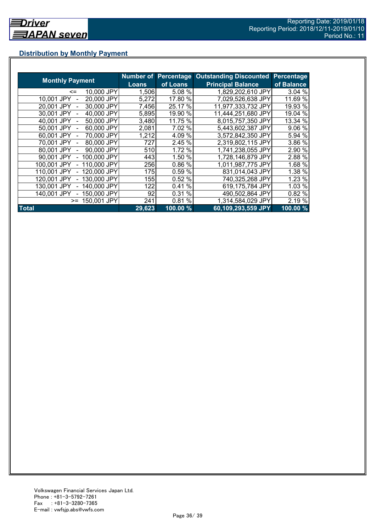## **Distribution by Monthly Payment**

|                            |              | <b>Number of Percentage</b> | <b>Outstanding Discounted</b> | Percentage          |
|----------------------------|--------------|-----------------------------|-------------------------------|---------------------|
| <b>Monthly Payment</b>     | <b>Loans</b> | of Loans                    | <b>Principal Balance</b>      | of Balance          |
| 10,000 JPY<br>$\leq$       | 1,506        | 5.08 %                      | 1,829,202,610 JPY             | 3.04%               |
| 20,000 JPY<br>10,001 JPY   | 5,272        | 17.80 %                     | 7,029,526,638 JPY             | 11.69 %             |
| 30,000 JPY<br>20.001 JPY   | 7,456        | 25.17 %                     | 11,977,333,732 JPY            | 19.93 %             |
| 40,000 JPY<br>30.001 JPY   | 5,895        | 19.90 %                     | 11,444,251,680 JPY            | 19.04 %             |
| 50,000 JPY<br>40.001 JPY   | 3,480        | 11.75 %                     | 8,015,757,350 JPY             | 13.34 %             |
| 60,000 JPY<br>50.001 JPY   | 2,081        | 7.02 %                      | 5,443,602,387 JPY             | 9.06 %              |
| 70.000 JPY<br>60.001 JPY   | 1,212        | 4.09 %                      | 3,572,842,350 JPY             | 5.94 %              |
| 80,000 JPY<br>70.001 JPY   | 727          | 2.45 %                      | 2,319,802,115 JPY             | 3.86 %              |
| 90,000 JPY<br>80,001 JPY   | 510          | 1.72 %                      | 1,741,238,055 JPY             | 2.90 %              |
| 100,000 JPY<br>90,001 JPY  | 443          | 1.50 %                      | 1,728,146,879 JPY             | 2.88 %              |
| 110,000 JPY<br>100,001 JPY | 256          | 0.86 %                      | 1,011,987,775 JPY             | 1.68 %              |
| 120,000 JPY<br>110,001 JPY | 175I         | 0.59 %                      | 831,014,043 JPY               | 1.38 %              |
| 130,000 JPY<br>120.001 JPY | 155          | 0.52%                       | 740,325,268 JPY               | 1.23 %              |
| 140,000 JPY<br>130.001 JPY | 122          | %<br>0.41                   | 619,175,784 JPY               | 1.03 %              |
| 150,000 JPY<br>140.001 JPY | 92           | 0.31%                       | 490,502,864 JPY               | 0.82 %              |
| 150,001 JPY<br>$>=$        | 241          | %<br>0.81                   | 1,314,584,029 JPY             | 2.19 %              |
| <b>Total</b>               | 29,623       | 100.00 %                    | 60,109,293,559 JPY            | $100.00\frac{9}{6}$ |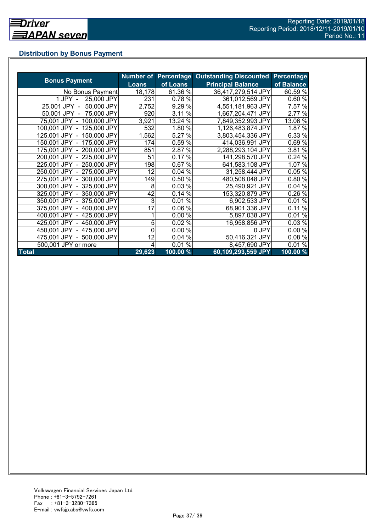## **Distribution by Bonus Payment**

|                            |              |          | Number of Percentage Outstanding Discounted | Percentage |
|----------------------------|--------------|----------|---------------------------------------------|------------|
| <b>Bonus Payment</b>       | <b>Loans</b> | of Loans | <b>Principal Balance</b>                    | of Balance |
| No Bonus Payment           | 18,178       | 61.36 %  | 36,417,279,514 JPY                          | 60.59 %    |
| 25,000 JPY<br>1 JPY -      | 231          | 0.78 %   | 361,012,569 JPY                             | 0.60%      |
| 25,001 JPY -<br>50,000 JPY | 2,752        | 9.29 %   | 4,551,181,963 JPY                           | 7.57 %     |
| 50,001 JPY - 75,000 JPY    | 920          | 3.11 %   | 1,667,204,471 JPY                           | 2.77 %     |
| 75,001 JPY - 100,000 JPY   | 3,921        | 13.24 %  | 7,849,352,993 JPY                           | 13.06 %    |
| 100,001 JPY - 125,000 JPY  | 532          | 1.80 %   | 1,126,483,874 JPY                           | 1.87 %     |
| 125,001 JPY - 150,000 JPY  | 1,562        | 5.27 %   | 3,803,454,336 JPY                           | 6.33 %     |
| 150,001 JPY - 175,000 JPY  | 174          | 0.59 %   | 414,036,991 JPY                             | 0.69%      |
| 175,001 JPY - 200,000 JPY  | 851          | 2.87 %   | 2,288,293,104 JPY                           | 3.81 %     |
| 200,001 JPY - 225,000 JPY  | 51           | 0.17%    | 141,298,570 JPY                             | 0.24%      |
| 225,001 JPY - 250,000 JPY  | 198          | 0.67%    | 641,583,108 JPY                             | 1.07 %     |
| 250,001 JPY - 275,000 JPY  | 12           | 0.04%    | 31,258,444 JPY                              | 0.05%      |
| 275,001 JPY - 300,000 JPY  | 149          | 0.50 %   | 480,508,048 JPY                             | 0.80%      |
| 300,001 JPY - 325,000 JPY  | 8            | 0.03%    | 25,490,921 JPY                              | 0.04%      |
| 325,001 JPY - 350,000 JPY  | 42           | 0.14%    | 153,320,879 JPY                             | 0.26 %     |
| 350,001 JPY - 375,000 JPY  | 3            | 0.01%    | 6,902,533 JPY                               | 0.01%      |
| 375,001 JPY - 400,000 JPY  | 17           | 0.06%    | 68,901,336 JPY                              | 0.11%      |
| 400,001 JPY - 425,000 JPY  |              | 0.00%    | 5,897,038 JPY                               | 0.01%      |
| 425,001 JPY - 450,000 JPY  | 5            | 0.02%    | 16,958,856 JPY                              | 0.03%      |
| 450,001 JPY - 475,000 JPY  | 0            | 0.00 %   | 0 JPY                                       | 0.00%      |
| 475,001 JPY - 500,000 JPY  | 12           | 0.04%    | 50,416,321 JPY                              | 0.08%      |
| 500,001 JPY or more        | 4            | $0.01\%$ | 8,457,690 JPY                               | 0.01%      |
| <b>Total</b>               | 29,623       | 100.00 % | 60,109,293,559 JPY                          | 100.00 %   |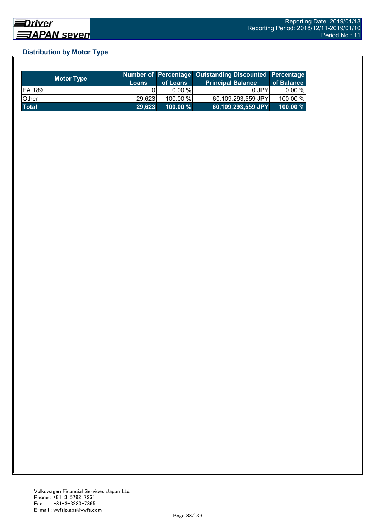## **Distribution by Motor Type**

| <b>Motor Type</b> | <b>Loans</b> | of Loans    | Number of Percentage Outstanding Discounted Percentage<br><b>Principal Balance</b> | of Balance  |
|-------------------|--------------|-------------|------------------------------------------------------------------------------------|-------------|
| <b>EA 189</b>     |              | $0.00 \%$   | 0 JPY                                                                              | 0.00 %      |
| Other             | 29,623       | 100.00 %    | 60,109,293,559 JPY                                                                 | 100.00 %    |
| <b>Total</b>      | 29,623       | $100.00 \%$ | 60,109,293,559 JPY                                                                 | $100.00 \%$ |